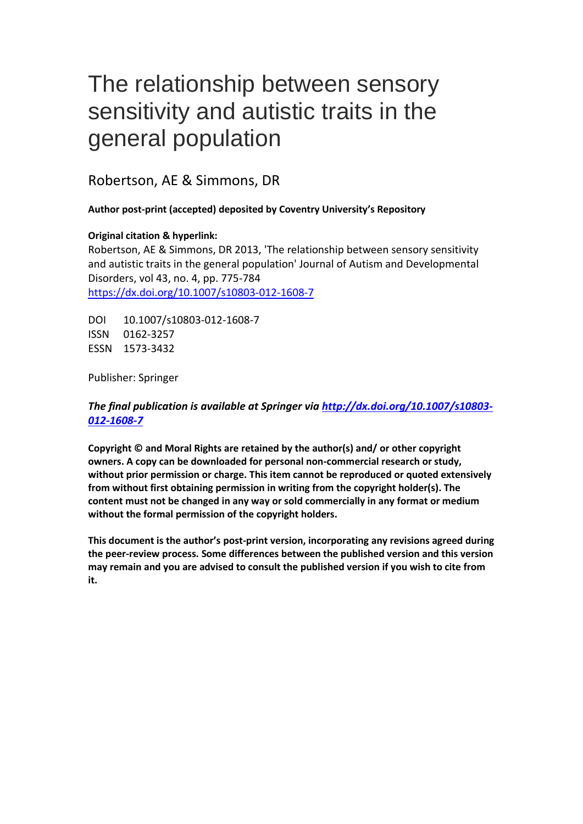# The relationship between sensory sensitivity and autistic traits in the general population

Robertson, AE & Simmons, DR

# **Author post-print (accepted) deposited by Coventry University's Repository**

# **Original citation & hyperlink:**

Robertson, AE & Simmons, DR 2013, 'The relationship between sensory sensitivity and autistic traits in the general population' Journal of Autism and Developmental Disorders, vol 43, no. 4, pp. 775-784 <https://dx.doi.org/10.1007/s10803-012-1608-7>

DOI 10.1007/s10803-012-1608-7 ISSN 0162-3257 ESSN 1573-3432

Publisher: Springer

# *The final publication is available at Springer via [http://dx.doi.org/10.1007/s10803-](http://dx.doi.org/10.1007/s00500-017-2757-6) [012-1608-7](http://dx.doi.org/10.1007/s00500-017-2757-6)*

**Copyright © and Moral Rights are retained by the author(s) and/ or other copyright owners. A copy can be downloaded for personal non-commercial research or study, without prior permission or charge. This item cannot be reproduced or quoted extensively from without first obtaining permission in writing from the copyright holder(s). The content must not be changed in any way or sold commercially in any format or medium without the formal permission of the copyright holders.** 

**This document is the author's post-print version, incorporating any revisions agreed during the peer-review process. Some differences between the published version and this version may remain and you are advised to consult the published version if you wish to cite from it.**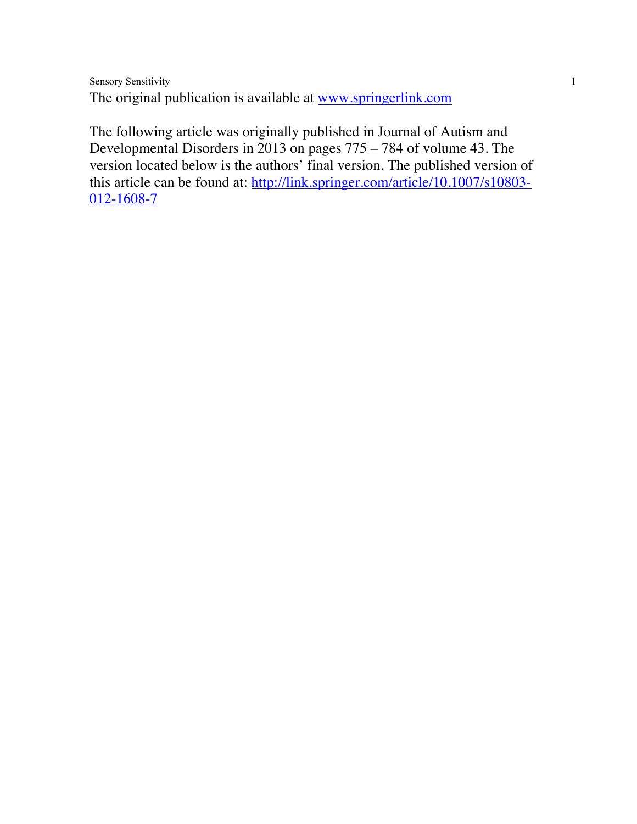Sensory Sensitivity 1 The original publication is available at www.springerlink.com

The following article was originally published in Journal of Autism and Developmental Disorders in 2013 on pages 775 – 784 of volume 43. The version located below is the authors' final version. The published version of this article can be found at: http://link.springer.com/article/10.1007/s10803-012-1608-7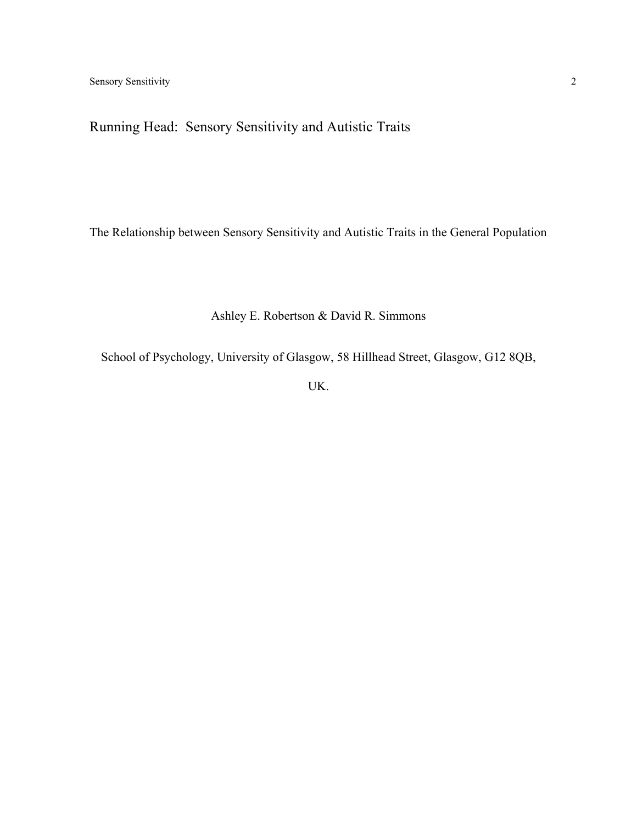# Running Head: Sensory Sensitivity and Autistic Traits

The Relationship between Sensory Sensitivity and Autistic Traits in the General Population

# Ashley E. Robertson & David R. Simmons

School of Psychology, University of Glasgow, 58 Hillhead Street, Glasgow, G12 8QB,

UK.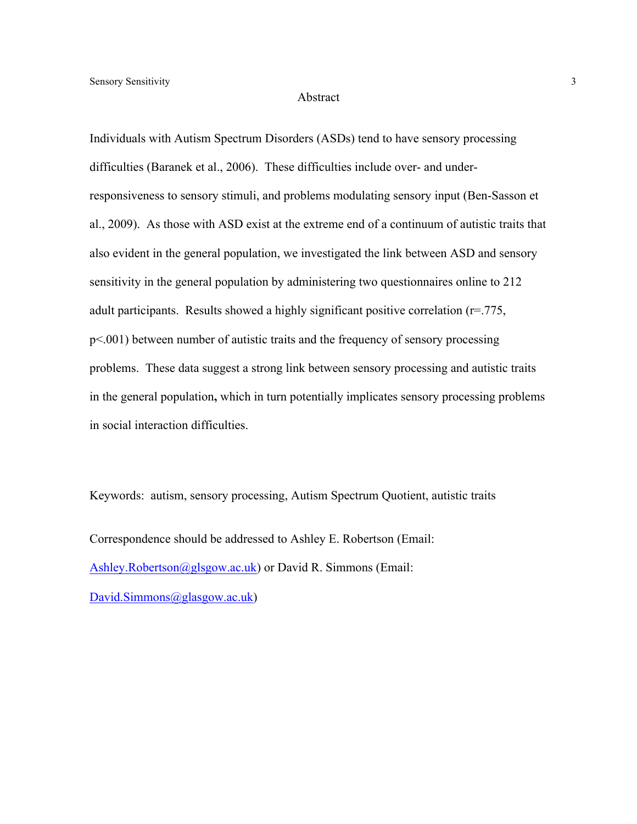#### Abstract

Individuals with Autism Spectrum Disorders (ASDs) tend to have sensory processing difficulties (Baranek et al., 2006). These difficulties include over- and underresponsiveness to sensory stimuli, and problems modulating sensory input (Ben-Sasson et al., 2009). As those with ASD exist at the extreme end of a continuum of autistic traits that also evident in the general population, we investigated the link between ASD and sensory sensitivity in the general population by administering two questionnaires online to 212 adult participants. Results showed a highly significant positive correlation (r=.775, p<.001) between number of autistic traits and the frequency of sensory processing problems. These data suggest a strong link between sensory processing and autistic traits in the general population**,** which in turn potentially implicates sensory processing problems in social interaction difficulties.

Keywords: autism, sensory processing, Autism Spectrum Quotient, autistic traits

Correspondence should be addressed to Ashley E. Robertson (Email: Ashley.Robertson@glsgow.ac.uk) or David R. Simmons (Email: David.Simmons@glasgow.ac.uk)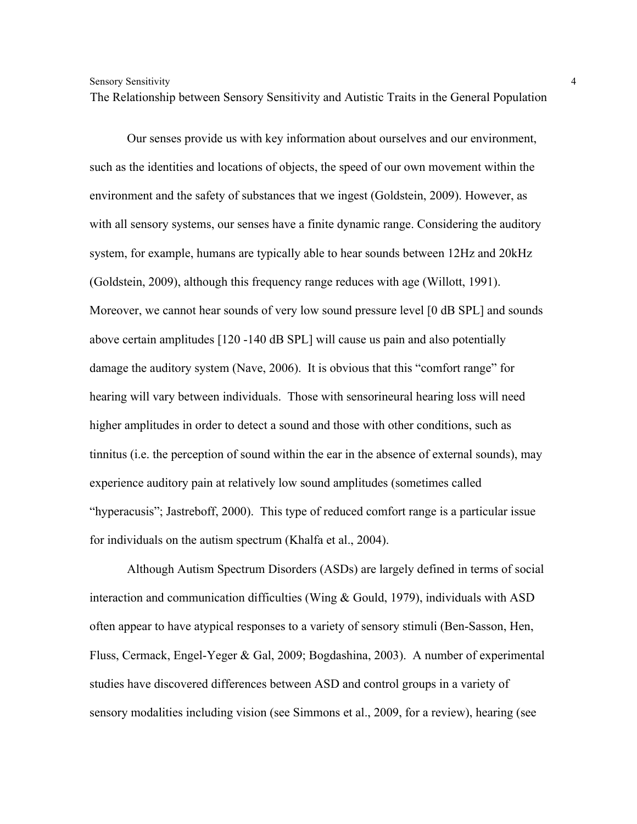The Relationship between Sensory Sensitivity and Autistic Traits in the General Population

Our senses provide us with key information about ourselves and our environment, such as the identities and locations of objects, the speed of our own movement within the environment and the safety of substances that we ingest (Goldstein, 2009). However, as with all sensory systems, our senses have a finite dynamic range. Considering the auditory system, for example, humans are typically able to hear sounds between 12Hz and 20kHz (Goldstein, 2009), although this frequency range reduces with age (Willott, 1991). Moreover, we cannot hear sounds of very low sound pressure level [0 dB SPL] and sounds above certain amplitudes [120 -140 dB SPL] will cause us pain and also potentially damage the auditory system (Nave, 2006). It is obvious that this "comfort range" for hearing will vary between individuals. Those with sensorineural hearing loss will need higher amplitudes in order to detect a sound and those with other conditions, such as tinnitus (i.e. the perception of sound within the ear in the absence of external sounds), may experience auditory pain at relatively low sound amplitudes (sometimes called "hyperacusis"; Jastreboff, 2000). This type of reduced comfort range is a particular issue for individuals on the autism spectrum (Khalfa et al., 2004).

Although Autism Spectrum Disorders (ASDs) are largely defined in terms of social interaction and communication difficulties (Wing & Gould, 1979), individuals with ASD often appear to have atypical responses to a variety of sensory stimuli (Ben-Sasson, Hen, Fluss, Cermack, Engel-Yeger & Gal, 2009; Bogdashina, 2003). A number of experimental studies have discovered differences between ASD and control groups in a variety of sensory modalities including vision (see Simmons et al., 2009, for a review), hearing (see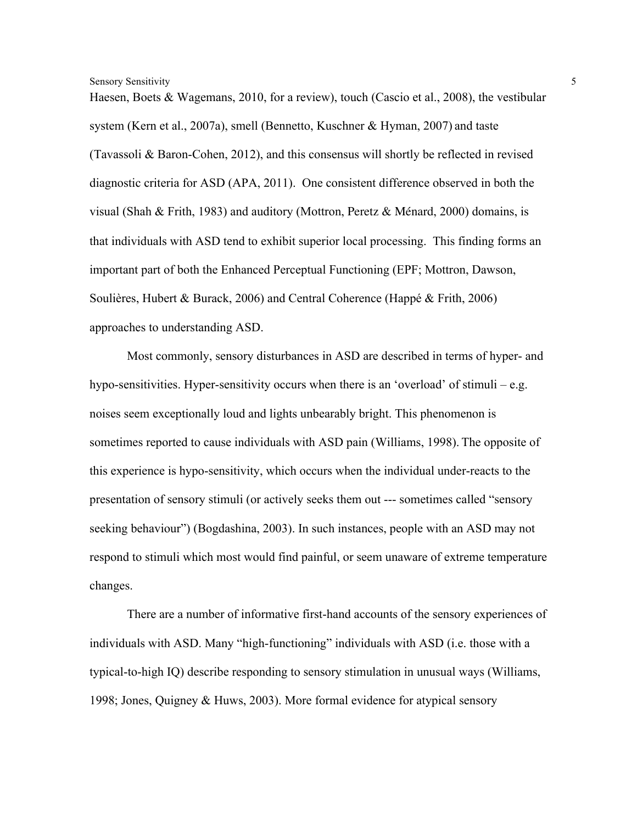Haesen, Boets & Wagemans, 2010, for a review), touch (Cascio et al., 2008), the vestibular system (Kern et al., 2007a), smell (Bennetto, Kuschner & Hyman, 2007) and taste (Tavassoli & Baron-Cohen, 2012), and this consensus will shortly be reflected in revised diagnostic criteria for ASD (APA, 2011). One consistent difference observed in both the visual (Shah & Frith, 1983) and auditory (Mottron, Peretz & Ménard, 2000) domains, is that individuals with ASD tend to exhibit superior local processing. This finding forms an important part of both the Enhanced Perceptual Functioning (EPF; Mottron, Dawson, Soulières, Hubert & Burack, 2006) and Central Coherence (Happé & Frith, 2006) approaches to understanding ASD.

Most commonly, sensory disturbances in ASD are described in terms of hyper- and hypo-sensitivities. Hyper-sensitivity occurs when there is an 'overload' of stimuli – e.g. noises seem exceptionally loud and lights unbearably bright. This phenomenon is sometimes reported to cause individuals with ASD pain (Williams, 1998). The opposite of this experience is hypo-sensitivity, which occurs when the individual under-reacts to the presentation of sensory stimuli (or actively seeks them out --- sometimes called "sensory seeking behaviour") (Bogdashina, 2003). In such instances, people with an ASD may not respond to stimuli which most would find painful, or seem unaware of extreme temperature changes.

There are a number of informative first-hand accounts of the sensory experiences of individuals with ASD. Many "high-functioning" individuals with ASD (i.e. those with a typical-to-high IQ) describe responding to sensory stimulation in unusual ways (Williams, 1998; Jones, Quigney & Huws, 2003). More formal evidence for atypical sensory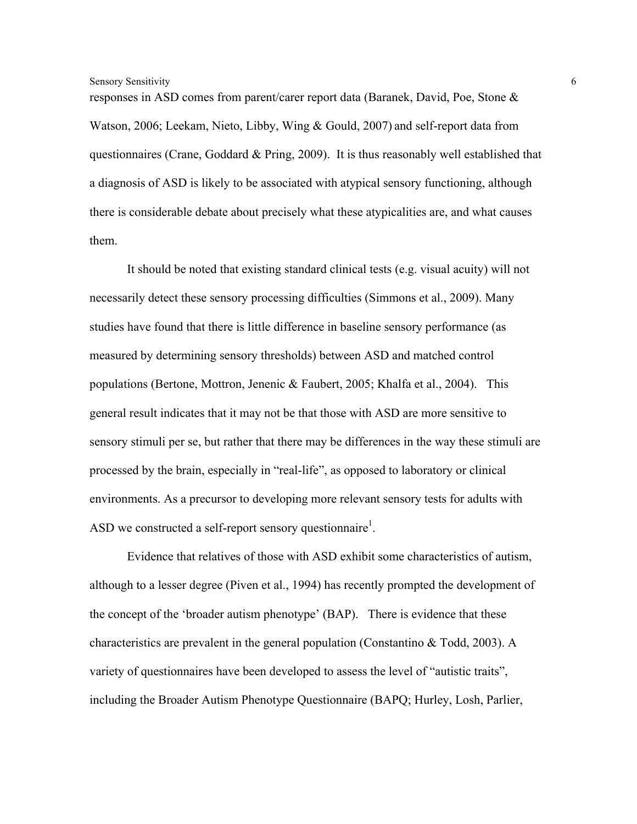responses in ASD comes from parent/carer report data (Baranek, David, Poe, Stone & Watson, 2006; Leekam, Nieto, Libby, Wing & Gould, 2007) and self-report data from questionnaires (Crane, Goddard & Pring, 2009). It is thus reasonably well established that a diagnosis of ASD is likely to be associated with atypical sensory functioning, although there is considerable debate about precisely what these atypicalities are, and what causes them.

It should be noted that existing standard clinical tests (e.g. visual acuity) will not necessarily detect these sensory processing difficulties (Simmons et al., 2009). Many studies have found that there is little difference in baseline sensory performance (as measured by determining sensory thresholds) between ASD and matched control populations (Bertone, Mottron, Jenenic & Faubert, 2005; Khalfa et al., 2004). This general result indicates that it may not be that those with ASD are more sensitive to sensory stimuli per se, but rather that there may be differences in the way these stimuli are processed by the brain, especially in "real-life", as opposed to laboratory or clinical environments. As a precursor to developing more relevant sensory tests for adults with ASD we constructed a self-report sensory questionnaire<sup>1</sup>.

Evidence that relatives of those with ASD exhibit some characteristics of autism, although to a lesser degree (Piven et al., 1994) has recently prompted the development of the concept of the 'broader autism phenotype' (BAP). There is evidence that these characteristics are prevalent in the general population (Constantino  $\&$  Todd, 2003). A variety of questionnaires have been developed to assess the level of "autistic traits", including the Broader Autism Phenotype Questionnaire (BAPQ; Hurley, Losh, Parlier,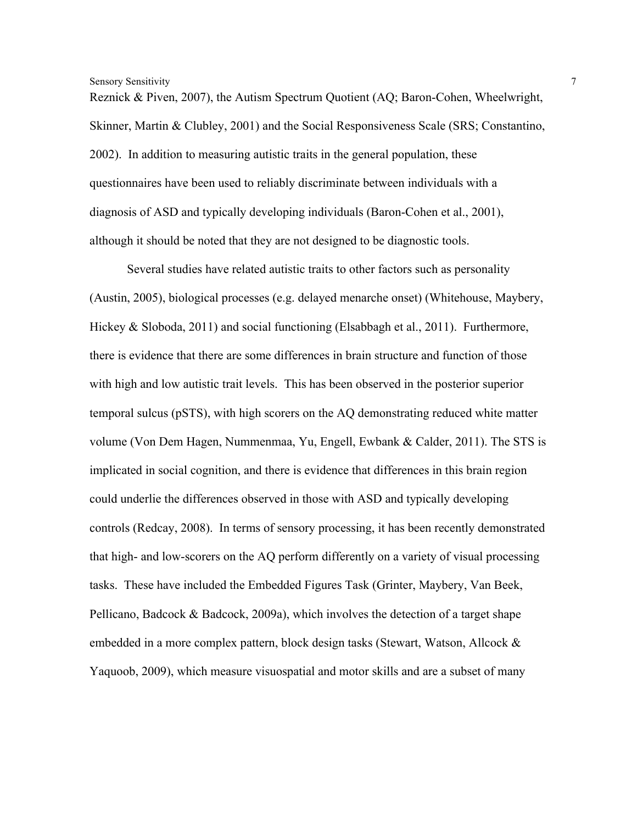Reznick & Piven, 2007), the Autism Spectrum Quotient (AQ; Baron-Cohen, Wheelwright, Skinner, Martin & Clubley, 2001) and the Social Responsiveness Scale (SRS; Constantino, 2002). In addition to measuring autistic traits in the general population, these questionnaires have been used to reliably discriminate between individuals with a diagnosis of ASD and typically developing individuals (Baron-Cohen et al., 2001), although it should be noted that they are not designed to be diagnostic tools.

Several studies have related autistic traits to other factors such as personality (Austin, 2005), biological processes (e.g. delayed menarche onset) (Whitehouse, Maybery, Hickey & Sloboda, 2011) and social functioning (Elsabbagh et al., 2011). Furthermore, there is evidence that there are some differences in brain structure and function of those with high and low autistic trait levels. This has been observed in the posterior superior temporal sulcus (pSTS), with high scorers on the AQ demonstrating reduced white matter volume (Von Dem Hagen, Nummenmaa, Yu, Engell, Ewbank & Calder, 2011). The STS is implicated in social cognition, and there is evidence that differences in this brain region could underlie the differences observed in those with ASD and typically developing controls (Redcay, 2008). In terms of sensory processing, it has been recently demonstrated that high- and low-scorers on the AQ perform differently on a variety of visual processing tasks. These have included the Embedded Figures Task (Grinter, Maybery, Van Beek, Pellicano, Badcock & Badcock, 2009a), which involves the detection of a target shape embedded in a more complex pattern, block design tasks (Stewart, Watson, Allcock & Yaquoob, 2009), which measure visuospatial and motor skills and are a subset of many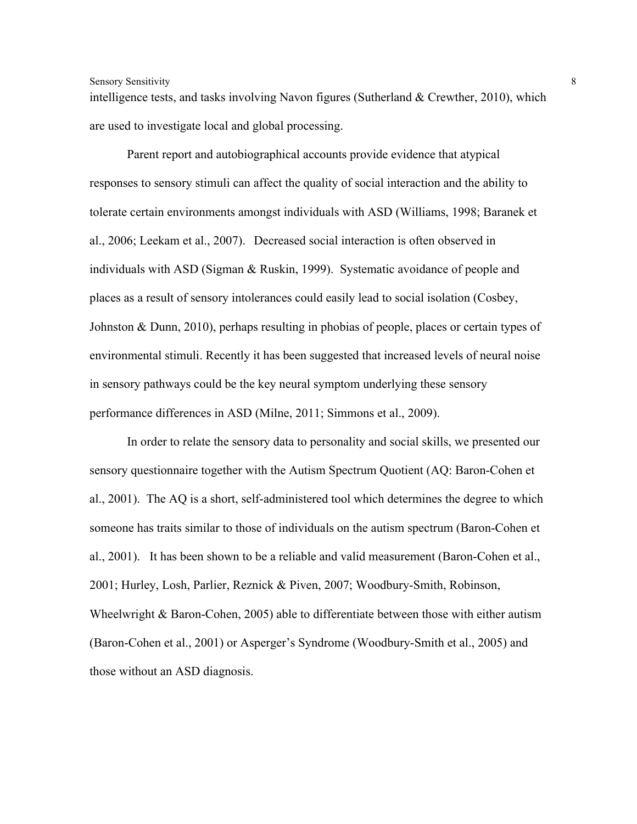intelligence tests, and tasks involving Navon figures (Sutherland & Crewther, 2010), which are used to investigate local and global processing.

Parent report and autobiographical accounts provide evidence that atypical responses to sensory stimuli can affect the quality of social interaction and the ability to tolerate certain environments amongst individuals with ASD (Williams, 1998; Baranek et al., 2006; Leekam et al., 2007). Decreased social interaction is often observed in individuals with ASD (Sigman & Ruskin, 1999). Systematic avoidance of people and places as a result of sensory intolerances could easily lead to social isolation (Cosbey, Johnston & Dunn, 2010), perhaps resulting in phobias of people, places or certain types of environmental stimuli. Recently it has been suggested that increased levels of neural noise in sensory pathways could be the key neural symptom underlying these sensory performance differences in ASD (Milne, 2011; Simmons et al., 2009).

In order to relate the sensory data to personality and social skills, we presented our sensory questionnaire together with the Autism Spectrum Quotient (AQ: Baron-Cohen et al., 2001). The AQ is a short, self-administered tool which determines the degree to which someone has traits similar to those of individuals on the autism spectrum (Baron-Cohen et al., 2001). It has been shown to be a reliable and valid measurement (Baron-Cohen et al., 2001; Hurley, Losh, Parlier, Reznick & Piven, 2007; Woodbury-Smith, Robinson, Wheelwright & Baron-Cohen, 2005) able to differentiate between those with either autism (Baron-Cohen et al., 2001) or Asperger's Syndrome (Woodbury-Smith et al., 2005) and those without an ASD diagnosis.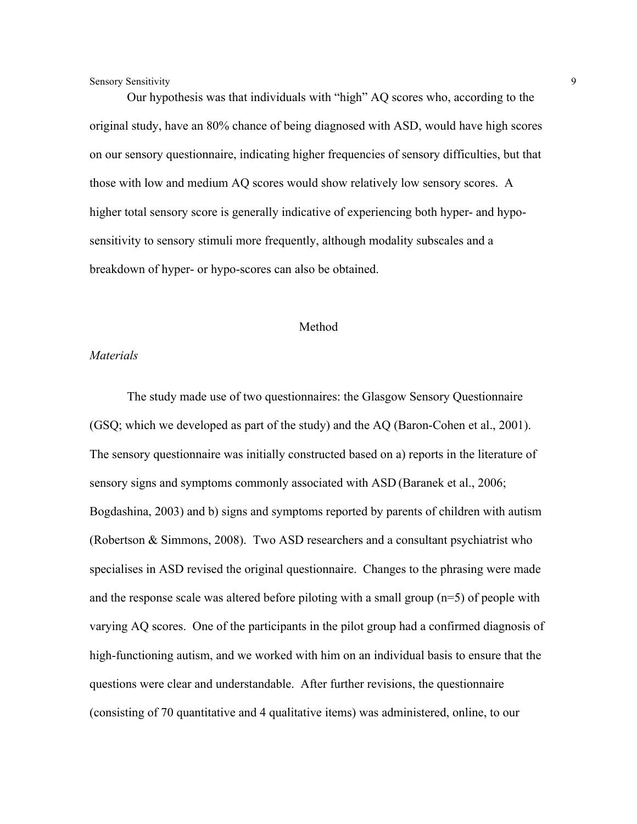Our hypothesis was that individuals with "high" AQ scores who, according to the original study, have an 80% chance of being diagnosed with ASD, would have high scores on our sensory questionnaire, indicating higher frequencies of sensory difficulties, but that those with low and medium AQ scores would show relatively low sensory scores. A higher total sensory score is generally indicative of experiencing both hyper- and hyposensitivity to sensory stimuli more frequently, although modality subscales and a breakdown of hyper- or hypo-scores can also be obtained.

#### Method

#### *Materials*

The study made use of two questionnaires: the Glasgow Sensory Questionnaire (GSQ; which we developed as part of the study) and the AQ (Baron-Cohen et al., 2001). The sensory questionnaire was initially constructed based on a) reports in the literature of sensory signs and symptoms commonly associated with ASD (Baranek et al., 2006; Bogdashina, 2003) and b) signs and symptoms reported by parents of children with autism (Robertson & Simmons, 2008). Two ASD researchers and a consultant psychiatrist who specialises in ASD revised the original questionnaire. Changes to the phrasing were made and the response scale was altered before piloting with a small group (n=5) of people with varying AQ scores. One of the participants in the pilot group had a confirmed diagnosis of high-functioning autism, and we worked with him on an individual basis to ensure that the questions were clear and understandable. After further revisions, the questionnaire (consisting of 70 quantitative and 4 qualitative items) was administered, online, to our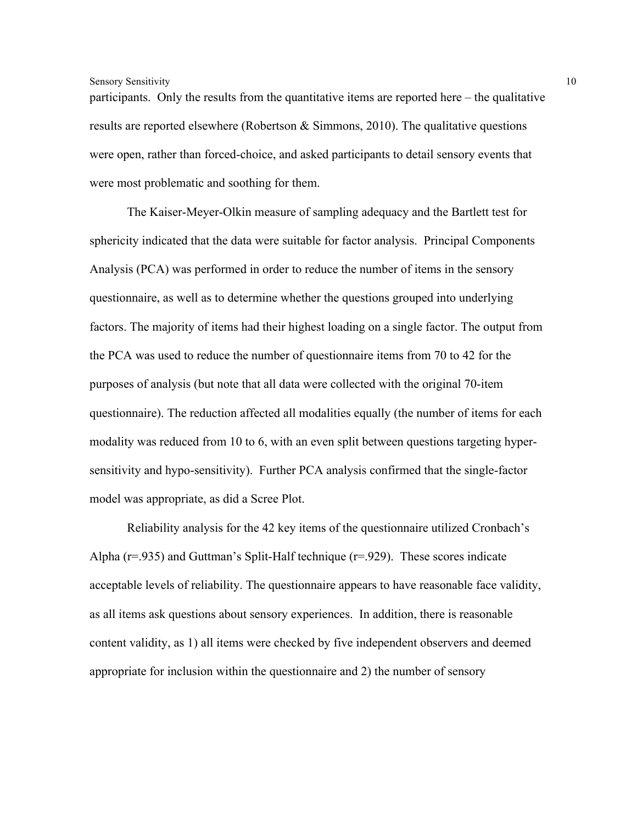participants. Only the results from the quantitative items are reported here – the qualitative results are reported elsewhere (Robertson & Simmons, 2010). The qualitative questions were open, rather than forced-choice, and asked participants to detail sensory events that were most problematic and soothing for them.

The Kaiser-Meyer-Olkin measure of sampling adequacy and the Bartlett test for sphericity indicated that the data were suitable for factor analysis. Principal Components Analysis (PCA) was performed in order to reduce the number of items in the sensory questionnaire, as well as to determine whether the questions grouped into underlying factors. The majority of items had their highest loading on a single factor. The output from the PCA was used to reduce the number of questionnaire items from 70 to 42 for the purposes of analysis (but note that all data were collected with the original 70-item questionnaire). The reduction affected all modalities equally (the number of items for each modality was reduced from 10 to 6, with an even split between questions targeting hypersensitivity and hypo-sensitivity). Further PCA analysis confirmed that the single-factor model was appropriate, as did a Scree Plot.

Reliability analysis for the 42 key items of the questionnaire utilized Cronbach's Alpha ( $r=935$ ) and Guttman's Split-Half technique ( $r=929$ ). These scores indicate acceptable levels of reliability. The questionnaire appears to have reasonable face validity, as all items ask questions about sensory experiences. In addition, there is reasonable content validity, as 1) all items were checked by five independent observers and deemed appropriate for inclusion within the questionnaire and 2) the number of sensory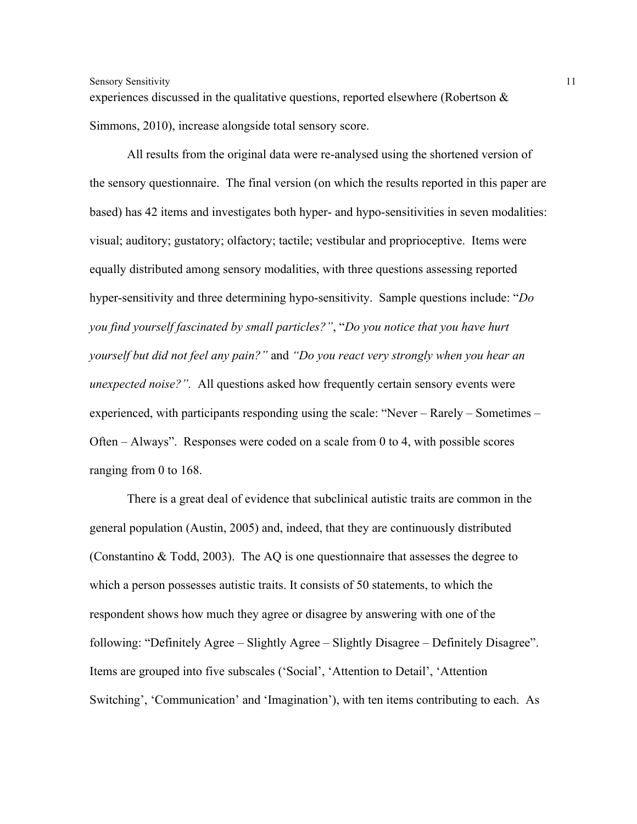experiences discussed in the qualitative questions, reported elsewhere (Robertson & Simmons, 2010), increase alongside total sensory score.

All results from the original data were re-analysed using the shortened version of the sensory questionnaire. The final version (on which the results reported in this paper are based) has 42 items and investigates both hyper- and hypo-sensitivities in seven modalities: visual; auditory; gustatory; olfactory; tactile; vestibular and proprioceptive. Items were equally distributed among sensory modalities, with three questions assessing reported hyper-sensitivity and three determining hypo-sensitivity. Sample questions include: "*Do you find yourself fascinated by small particles?"*, "*Do you notice that you have hurt yourself but did not feel any pain?"* and *"Do you react very strongly when you hear an unexpected noise?".* All questions asked how frequently certain sensory events were experienced, with participants responding using the scale: "Never – Rarely – Sometimes – Often – Always". Responses were coded on a scale from 0 to 4, with possible scores ranging from 0 to 168.

There is a great deal of evidence that subclinical autistic traits are common in the general population (Austin, 2005) and, indeed, that they are continuously distributed (Constantino & Todd, 2003). The AQ is one questionnaire that assesses the degree to which a person possesses autistic traits. It consists of 50 statements, to which the respondent shows how much they agree or disagree by answering with one of the following: "Definitely Agree – Slightly Agree – Slightly Disagree – Definitely Disagree". Items are grouped into five subscales ('Social', 'Attention to Detail', 'Attention Switching', 'Communication' and 'Imagination'), with ten items contributing to each. As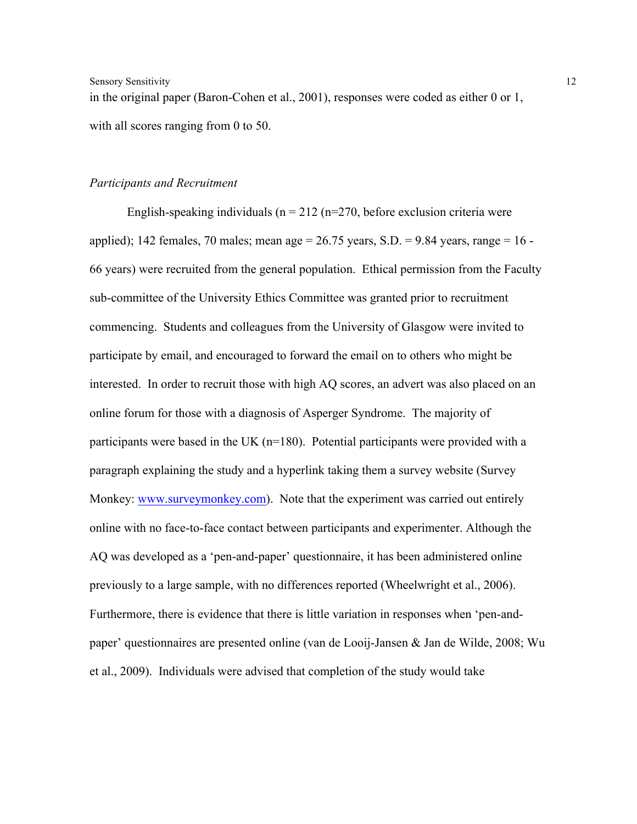in the original paper (Baron-Cohen et al., 2001), responses were coded as either 0 or 1, with all scores ranging from 0 to 50.

#### *Participants and Recruitment*

English-speaking individuals ( $n = 212$  ( $n = 270$ , before exclusion criteria were applied); 142 females, 70 males; mean age =  $26.75$  years, S.D. = 9.84 years, range = 16 -66 years) were recruited from the general population. Ethical permission from the Faculty sub-committee of the University Ethics Committee was granted prior to recruitment commencing. Students and colleagues from the University of Glasgow were invited to participate by email, and encouraged to forward the email on to others who might be interested. In order to recruit those with high AQ scores, an advert was also placed on an online forum for those with a diagnosis of Asperger Syndrome. The majority of participants were based in the UK (n=180). Potential participants were provided with a paragraph explaining the study and a hyperlink taking them a survey website (Survey Monkey: www.surveymonkey.com). Note that the experiment was carried out entirely online with no face-to-face contact between participants and experimenter. Although the AQ was developed as a 'pen-and-paper' questionnaire, it has been administered online previously to a large sample, with no differences reported (Wheelwright et al., 2006). Furthermore, there is evidence that there is little variation in responses when 'pen-andpaper' questionnaires are presented online (van de Looij-Jansen & Jan de Wilde, 2008; Wu et al., 2009). Individuals were advised that completion of the study would take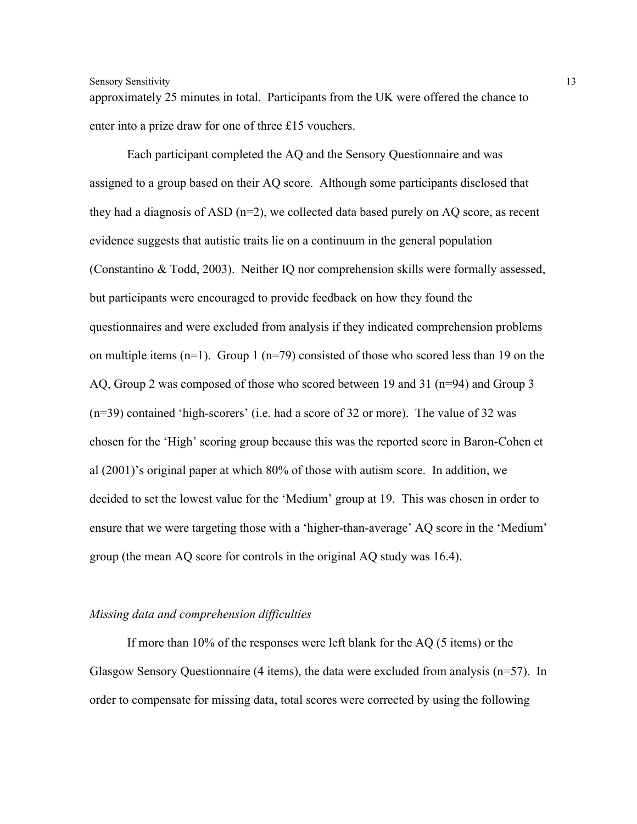approximately 25 minutes in total. Participants from the UK were offered the chance to enter into a prize draw for one of three £15 vouchers.

Each participant completed the AQ and the Sensory Questionnaire and was assigned to a group based on their AQ score. Although some participants disclosed that they had a diagnosis of ASD  $(n=2)$ , we collected data based purely on AQ score, as recent evidence suggests that autistic traits lie on a continuum in the general population (Constantino & Todd, 2003). Neither IQ nor comprehension skills were formally assessed, but participants were encouraged to provide feedback on how they found the questionnaires and were excluded from analysis if they indicated comprehension problems on multiple items  $(n=1)$ . Group 1  $(n=79)$  consisted of those who scored less than 19 on the AQ, Group 2 was composed of those who scored between 19 and 31 (n=94) and Group 3 (n=39) contained 'high-scorers' (i.e. had a score of 32 or more). The value of 32 was chosen for the 'High' scoring group because this was the reported score in Baron-Cohen et al (2001)'s original paper at which 80% of those with autism score. In addition, we decided to set the lowest value for the 'Medium' group at 19. This was chosen in order to ensure that we were targeting those with a 'higher-than-average' AQ score in the 'Medium' group (the mean AQ score for controls in the original AQ study was 16.4).

#### *Missing data and comprehension difficulties*

If more than 10% of the responses were left blank for the AQ (5 items) or the Glasgow Sensory Questionnaire (4 items), the data were excluded from analysis (n=57). In order to compensate for missing data, total scores were corrected by using the following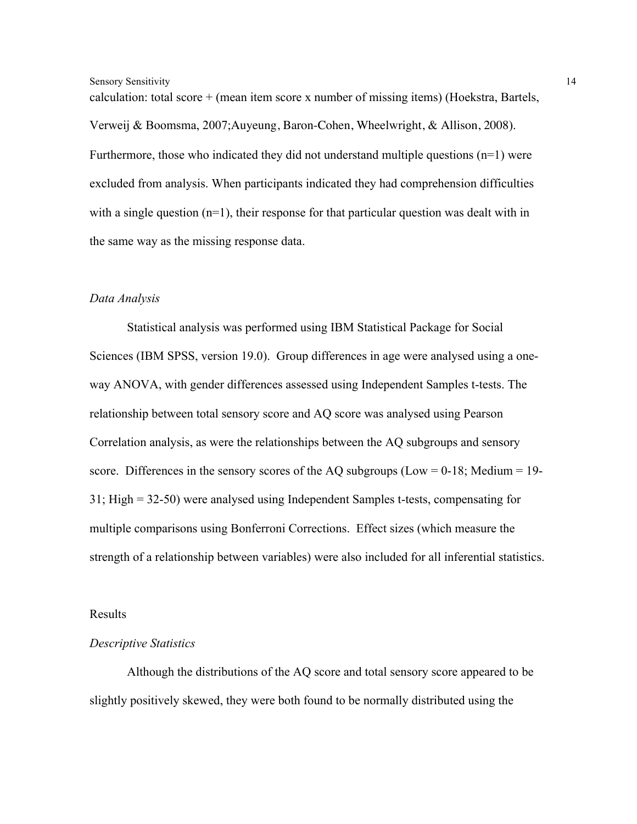calculation: total score + (mean item score x number of missing items) (Hoekstra, Bartels, Verweij & Boomsma, 2007;Auyeung, Baron-Cohen, Wheelwright, & Allison, 2008). Furthermore, those who indicated they did not understand multiple questions (n=1) were excluded from analysis. When participants indicated they had comprehension difficulties with a single question  $(n=1)$ , their response for that particular question was dealt with in the same way as the missing response data.

#### *Data Analysis*

Statistical analysis was performed using IBM Statistical Package for Social Sciences (IBM SPSS, version 19.0). Group differences in age were analysed using a oneway ANOVA, with gender differences assessed using Independent Samples t-tests. The relationship between total sensory score and AQ score was analysed using Pearson Correlation analysis, as were the relationships between the AQ subgroups and sensory score. Differences in the sensory scores of the AQ subgroups (Low =  $0-18$ ; Medium = 19-31; High = 32-50) were analysed using Independent Samples t-tests, compensating for multiple comparisons using Bonferroni Corrections. Effect sizes (which measure the strength of a relationship between variables) were also included for all inferential statistics.

Results

#### *Descriptive Statistics*

Although the distributions of the AQ score and total sensory score appeared to be slightly positively skewed, they were both found to be normally distributed using the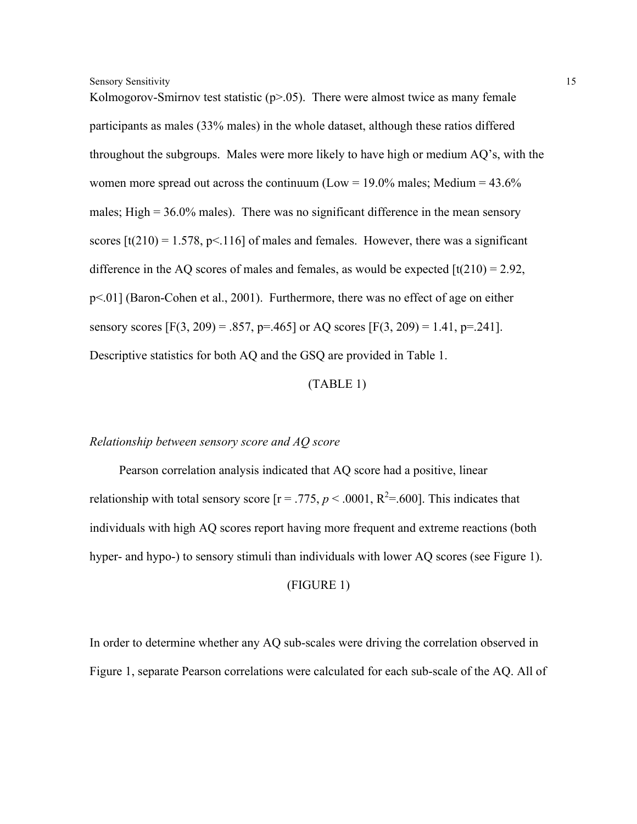Kolmogorov-Smirnov test statistic  $(p>0.05)$ . There were almost twice as many female participants as males (33% males) in the whole dataset, although these ratios differed throughout the subgroups. Males were more likely to have high or medium AQ's, with the women more spread out across the continuum (Low =  $19.0\%$  males; Medium =  $43.6\%$ males; High  $= 36.0\%$  males). There was no significant difference in the mean sensory scores  $[t(210) = 1.578, p<116]$  of males and females. However, there was a significant difference in the AQ scores of males and females, as would be expected  $\left[\frac{t(210)}{2.92}\right]$ . p<.01] (Baron-Cohen et al., 2001). Furthermore, there was no effect of age on either sensory scores  $[F(3, 209) = .857, p=.465]$  or AQ scores  $[F(3, 209) = 1.41, p=.241]$ . Descriptive statistics for both AQ and the GSQ are provided in Table 1.

#### (TABLE 1)

#### *Relationship between sensory score and AQ score*

Pearson correlation analysis indicated that AQ score had a positive, linear relationship with total sensory score  $[r = .775, p < .0001, R^2 = .600]$ . This indicates that individuals with high AQ scores report having more frequent and extreme reactions (both hyper- and hypo-) to sensory stimuli than individuals with lower AQ scores (see Figure 1).

#### (FIGURE 1)

In order to determine whether any AQ sub-scales were driving the correlation observed in Figure 1, separate Pearson correlations were calculated for each sub-scale of the AQ. All of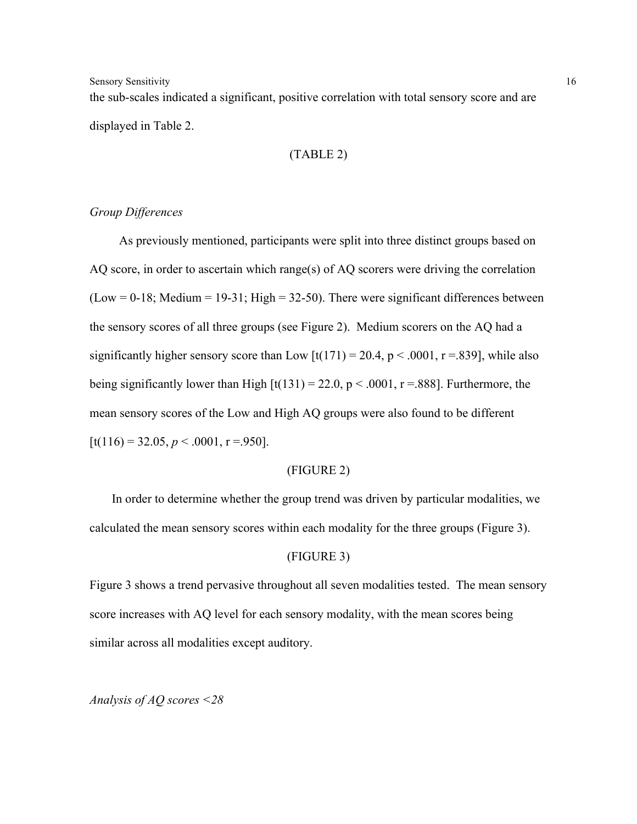the sub-scales indicated a significant, positive correlation with total sensory score and are displayed in Table 2.

### (TABLE 2)

# *Group Differences*

As previously mentioned, participants were split into three distinct groups based on AQ score, in order to ascertain which range(s) of AQ scorers were driving the correlation  $(Low = 0-18; Medium = 19-31; High = 32-50)$ . There were significant differences between the sensory scores of all three groups (see Figure 2). Medium scorers on the AQ had a significantly higher sensory score than Low  $\left[t(171) = 20.4, p < .0001, r = .839\right]$ , while also being significantly lower than High  $[t(131) = 22.0, p < .0001, r = .888]$ . Furthermore, the mean sensory scores of the Low and High AQ groups were also found to be different  $[t(116) = 32.05, p < .0001, r = .950].$ 

#### (FIGURE 2)

In order to determine whether the group trend was driven by particular modalities, we calculated the mean sensory scores within each modality for the three groups (Figure 3).

#### (FIGURE 3)

Figure 3 shows a trend pervasive throughout all seven modalities tested. The mean sensory score increases with AQ level for each sensory modality, with the mean scores being similar across all modalities except auditory.

Analysis of 
$$
AQ
$$
 scores  $< 28$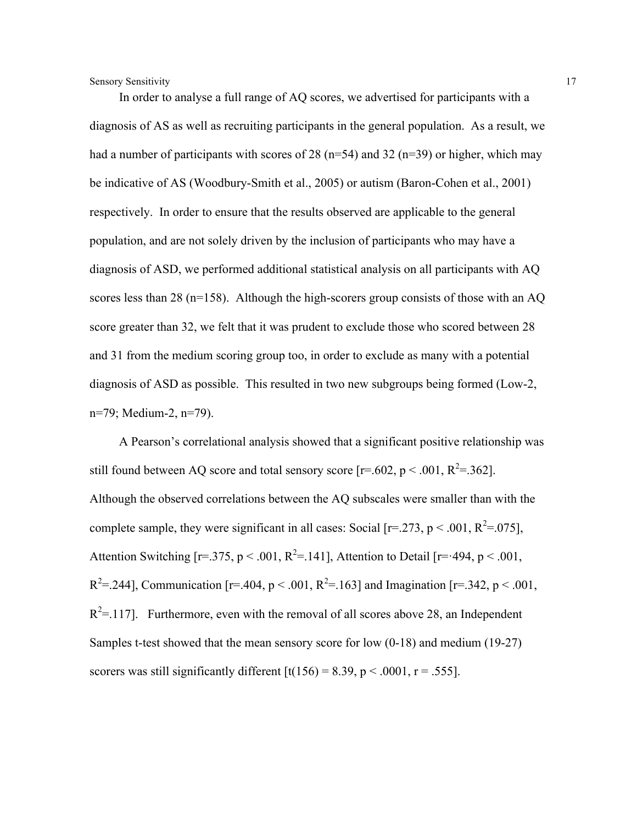In order to analyse a full range of AQ scores, we advertised for participants with a diagnosis of AS as well as recruiting participants in the general population. As a result, we had a number of participants with scores of 28 ( $n=54$ ) and 32 ( $n=39$ ) or higher, which may be indicative of AS (Woodbury-Smith et al., 2005) or autism (Baron-Cohen et al., 2001) respectively. In order to ensure that the results observed are applicable to the general population, and are not solely driven by the inclusion of participants who may have a diagnosis of ASD, we performed additional statistical analysis on all participants with AQ scores less than 28 (n=158). Although the high-scorers group consists of those with an AQ score greater than 32, we felt that it was prudent to exclude those who scored between 28 and 31 from the medium scoring group too, in order to exclude as many with a potential diagnosis of ASD as possible. This resulted in two new subgroups being formed (Low-2, n=79; Medium-2, n=79).

A Pearson's correlational analysis showed that a significant positive relationship was still found between AQ score and total sensory score [ $r = .602$ ,  $p < .001$ ,  $R^2 = .362$ ]. Although the observed correlations between the AQ subscales were smaller than with the complete sample, they were significant in all cases: Social [ $r = 273$ ,  $p < .001$ ,  $R^2 = .075$ ], Attention Switching [ $r = 0.375$ ,  $p < 0.001$ ,  $R^2 = 0.141$ ], Attention to Detail [ $r = 0.494$ ,  $p < 0.001$ ,  $R^2 = 244$ ], Communication [r=.404, p < .001, R<sup>2</sup>=.163] and Imagination [r=.342, p < .001,  $R^2$ =.117]. Furthermore, even with the removal of all scores above 28, an Independent Samples t-test showed that the mean sensory score for low (0-18) and medium (19-27) scorers was still significantly different  $\left[t(156) = 8.39, p < .0001, r = .555\right]$ .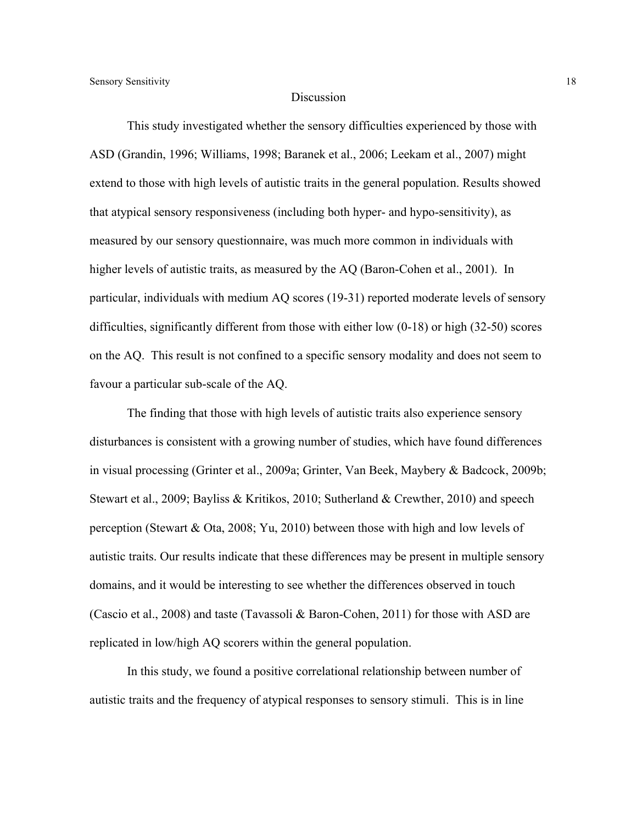#### Discussion

This study investigated whether the sensory difficulties experienced by those with ASD (Grandin, 1996; Williams, 1998; Baranek et al., 2006; Leekam et al., 2007) might extend to those with high levels of autistic traits in the general population. Results showed that atypical sensory responsiveness (including both hyper- and hypo-sensitivity), as measured by our sensory questionnaire, was much more common in individuals with higher levels of autistic traits, as measured by the AQ (Baron-Cohen et al., 2001). In particular, individuals with medium AQ scores (19-31) reported moderate levels of sensory difficulties, significantly different from those with either low (0-18) or high (32-50) scores on the AQ. This result is not confined to a specific sensory modality and does not seem to favour a particular sub-scale of the AQ.

The finding that those with high levels of autistic traits also experience sensory disturbances is consistent with a growing number of studies, which have found differences in visual processing (Grinter et al., 2009a; Grinter, Van Beek, Maybery & Badcock, 2009b; Stewart et al., 2009; Bayliss & Kritikos, 2010; Sutherland & Crewther, 2010) and speech perception (Stewart & Ota, 2008; Yu, 2010) between those with high and low levels of autistic traits. Our results indicate that these differences may be present in multiple sensory domains, and it would be interesting to see whether the differences observed in touch (Cascio et al., 2008) and taste (Tavassoli & Baron-Cohen, 2011) for those with ASD are replicated in low/high AQ scorers within the general population.

In this study, we found a positive correlational relationship between number of autistic traits and the frequency of atypical responses to sensory stimuli. This is in line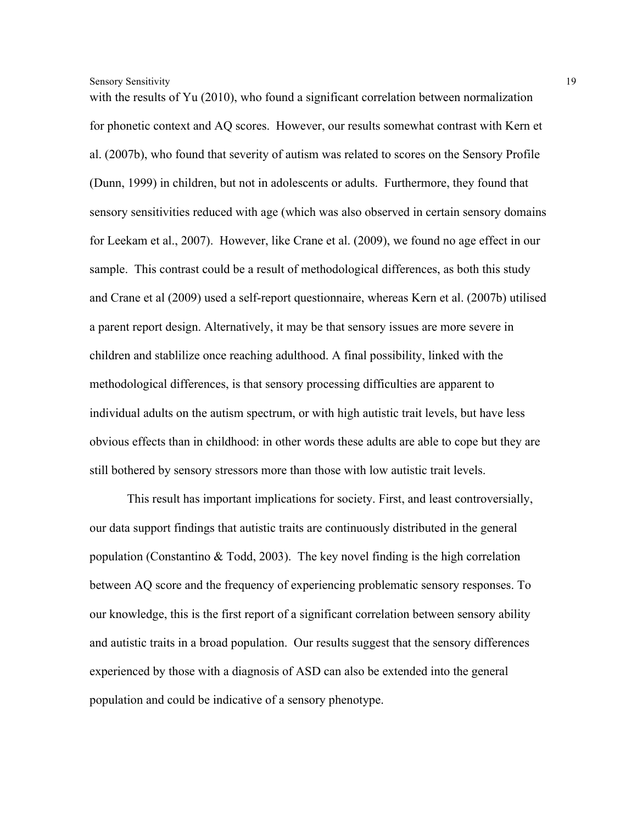with the results of Yu (2010), who found a significant correlation between normalization for phonetic context and AQ scores. However, our results somewhat contrast with Kern et al. (2007b), who found that severity of autism was related to scores on the Sensory Profile (Dunn, 1999) in children, but not in adolescents or adults. Furthermore, they found that sensory sensitivities reduced with age (which was also observed in certain sensory domains for Leekam et al., 2007). However, like Crane et al. (2009), we found no age effect in our sample. This contrast could be a result of methodological differences, as both this study and Crane et al (2009) used a self-report questionnaire, whereas Kern et al. (2007b) utilised a parent report design. Alternatively, it may be that sensory issues are more severe in children and stablilize once reaching adulthood. A final possibility, linked with the methodological differences, is that sensory processing difficulties are apparent to individual adults on the autism spectrum, or with high autistic trait levels, but have less obvious effects than in childhood: in other words these adults are able to cope but they are still bothered by sensory stressors more than those with low autistic trait levels.

This result has important implications for society. First, and least controversially, our data support findings that autistic traits are continuously distributed in the general population (Constantino & Todd, 2003). The key novel finding is the high correlation between AQ score and the frequency of experiencing problematic sensory responses. To our knowledge, this is the first report of a significant correlation between sensory ability and autistic traits in a broad population. Our results suggest that the sensory differences experienced by those with a diagnosis of ASD can also be extended into the general population and could be indicative of a sensory phenotype.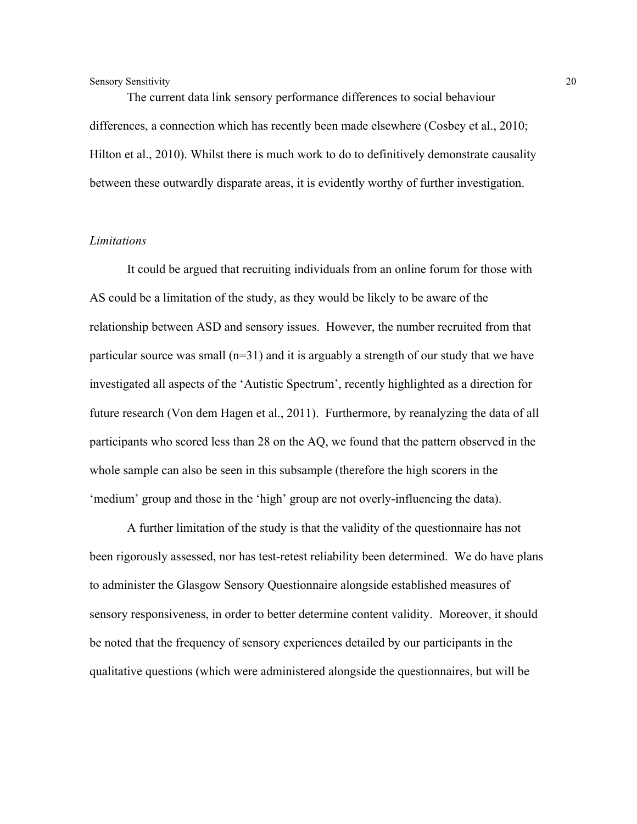The current data link sensory performance differences to social behaviour differences, a connection which has recently been made elsewhere (Cosbey et al., 2010; Hilton et al., 2010). Whilst there is much work to do to definitively demonstrate causality between these outwardly disparate areas, it is evidently worthy of further investigation.

#### *Limitations*

It could be argued that recruiting individuals from an online forum for those with AS could be a limitation of the study, as they would be likely to be aware of the relationship between ASD and sensory issues. However, the number recruited from that particular source was small  $(n=31)$  and it is arguably a strength of our study that we have investigated all aspects of the 'Autistic Spectrum', recently highlighted as a direction for future research (Von dem Hagen et al., 2011). Furthermore, by reanalyzing the data of all participants who scored less than 28 on the AQ, we found that the pattern observed in the whole sample can also be seen in this subsample (therefore the high scorers in the 'medium' group and those in the 'high' group are not overly-influencing the data).

A further limitation of the study is that the validity of the questionnaire has not been rigorously assessed, nor has test-retest reliability been determined. We do have plans to administer the Glasgow Sensory Questionnaire alongside established measures of sensory responsiveness, in order to better determine content validity. Moreover, it should be noted that the frequency of sensory experiences detailed by our participants in the qualitative questions (which were administered alongside the questionnaires, but will be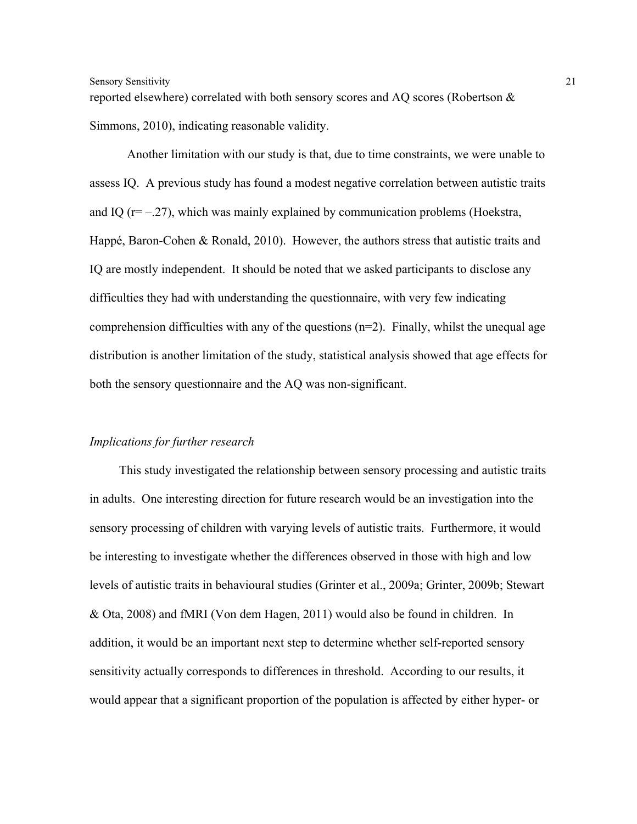reported elsewhere) correlated with both sensory scores and AQ scores (Robertson & Simmons, 2010), indicating reasonable validity.

Another limitation with our study is that, due to time constraints, we were unable to assess IQ. A previous study has found a modest negative correlation between autistic traits and IQ ( $r=-.27$ ), which was mainly explained by communication problems (Hoekstra, Happé, Baron-Cohen & Ronald, 2010). However, the authors stress that autistic traits and IQ are mostly independent. It should be noted that we asked participants to disclose any difficulties they had with understanding the questionnaire, with very few indicating comprehension difficulties with any of the questions  $(n=2)$ . Finally, whilst the unequal age distribution is another limitation of the study, statistical analysis showed that age effects for both the sensory questionnaire and the AQ was non-significant.

#### *Implications for further research*

This study investigated the relationship between sensory processing and autistic traits in adults. One interesting direction for future research would be an investigation into the sensory processing of children with varying levels of autistic traits. Furthermore, it would be interesting to investigate whether the differences observed in those with high and low levels of autistic traits in behavioural studies (Grinter et al., 2009a; Grinter, 2009b; Stewart & Ota, 2008) and fMRI (Von dem Hagen, 2011) would also be found in children. In addition, it would be an important next step to determine whether self-reported sensory sensitivity actually corresponds to differences in threshold. According to our results, it would appear that a significant proportion of the population is affected by either hyper- or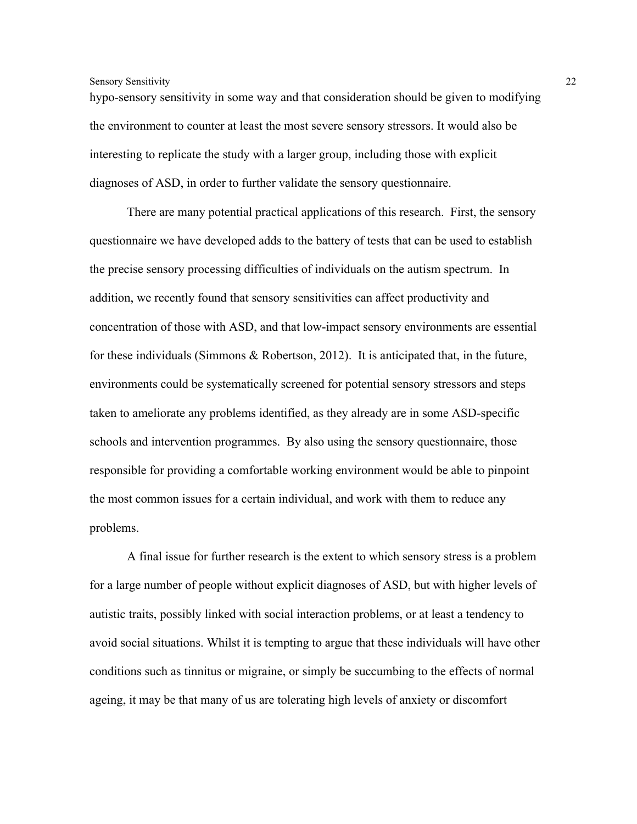hypo-sensory sensitivity in some way and that consideration should be given to modifying the environment to counter at least the most severe sensory stressors. It would also be interesting to replicate the study with a larger group, including those with explicit diagnoses of ASD, in order to further validate the sensory questionnaire.

There are many potential practical applications of this research. First, the sensory questionnaire we have developed adds to the battery of tests that can be used to establish the precise sensory processing difficulties of individuals on the autism spectrum. In addition, we recently found that sensory sensitivities can affect productivity and concentration of those with ASD, and that low-impact sensory environments are essential for these individuals (Simmons & Robertson, 2012). It is anticipated that, in the future, environments could be systematically screened for potential sensory stressors and steps taken to ameliorate any problems identified, as they already are in some ASD-specific schools and intervention programmes. By also using the sensory questionnaire, those responsible for providing a comfortable working environment would be able to pinpoint the most common issues for a certain individual, and work with them to reduce any problems.

A final issue for further research is the extent to which sensory stress is a problem for a large number of people without explicit diagnoses of ASD, but with higher levels of autistic traits, possibly linked with social interaction problems, or at least a tendency to avoid social situations. Whilst it is tempting to argue that these individuals will have other conditions such as tinnitus or migraine, or simply be succumbing to the effects of normal ageing, it may be that many of us are tolerating high levels of anxiety or discomfort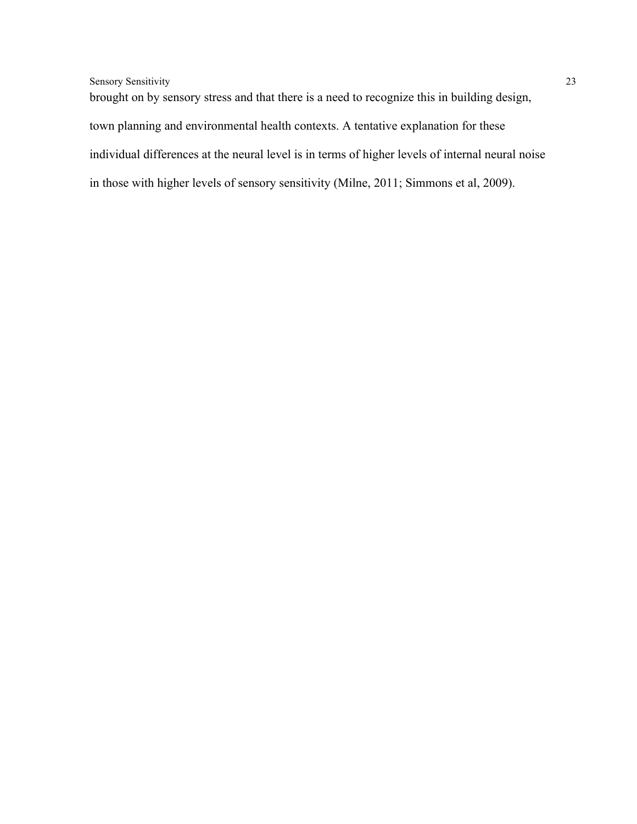brought on by sensory stress and that there is a need to recognize this in building design, town planning and environmental health contexts. A tentative explanation for these individual differences at the neural level is in terms of higher levels of internal neural noise in those with higher levels of sensory sensitivity (Milne, 2011; Simmons et al, 2009).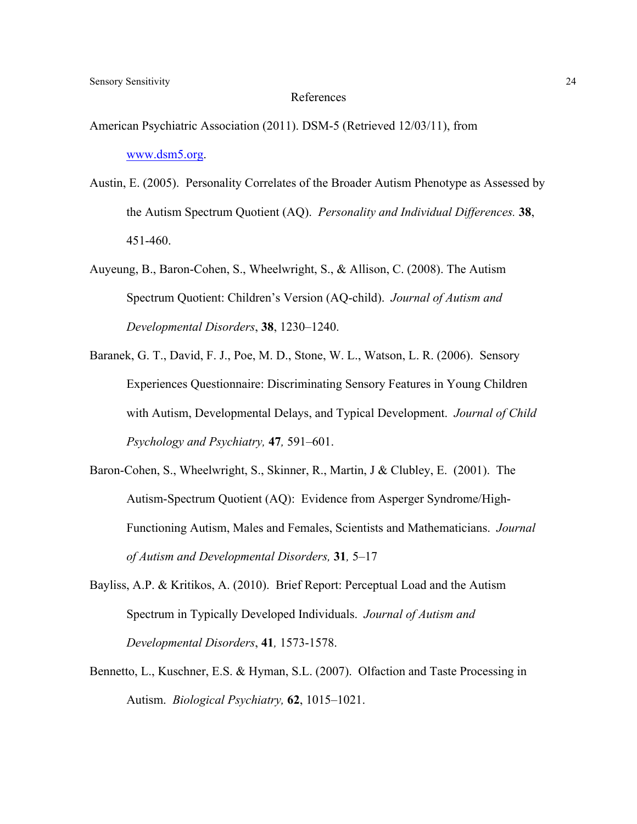#### References

- American Psychiatric Association (2011). DSM-5 (Retrieved 12/03/11), from www.dsm5.org.
- Austin, E. (2005). Personality Correlates of the Broader Autism Phenotype as Assessed by the Autism Spectrum Quotient (AQ). *Personality and Individual Differences.* **38**, 451-460.
- Auyeung, B., Baron-Cohen, S., Wheelwright, S., & Allison, C. (2008). The Autism Spectrum Quotient: Children's Version (AQ-child). *Journal of Autism and Developmental Disorders*, **38**, 1230–1240.
- Baranek, G. T., David, F. J., Poe, M. D., Stone, W. L., Watson, L. R. (2006). Sensory Experiences Questionnaire: Discriminating Sensory Features in Young Children with Autism, Developmental Delays, and Typical Development. *Journal of Child Psychology and Psychiatry,* **47***,* 591–601.
- Baron-Cohen, S., Wheelwright, S., Skinner, R., Martin, J & Clubley, E. (2001). The Autism-Spectrum Quotient (AQ): Evidence from Asperger Syndrome/High-Functioning Autism, Males and Females, Scientists and Mathematicians. *Journal of Autism and Developmental Disorders,* **31***,* 5–17
- Bayliss, A.P. & Kritikos, A. (2010). Brief Report: Perceptual Load and the Autism Spectrum in Typically Developed Individuals. *Journal of Autism and Developmental Disorders*, **41***,* 1573-1578.
- Bennetto, L., Kuschner, E.S. & Hyman, S.L. (2007). Olfaction and Taste Processing in Autism. *Biological Psychiatry,* **62**, 1015–1021.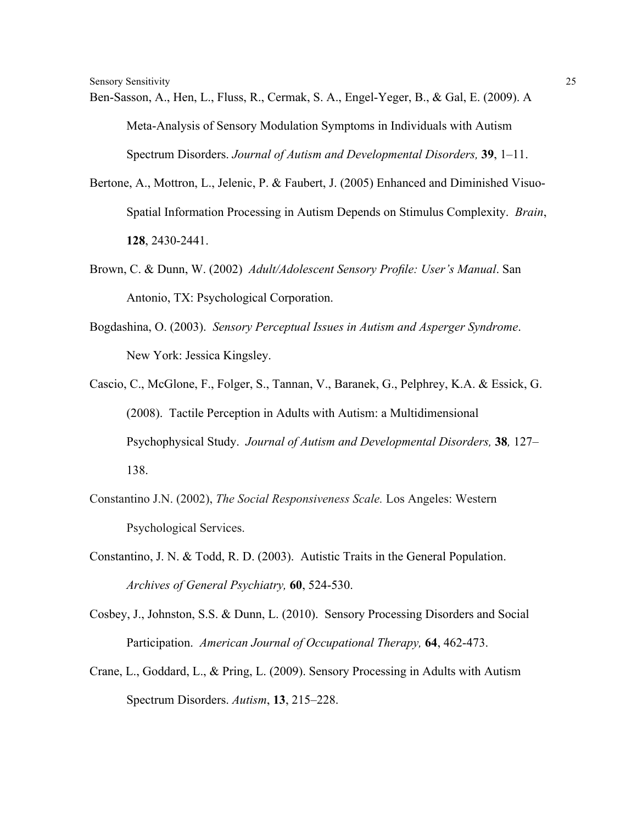- Ben-Sasson, A., Hen, L., Fluss, R., Cermak, S. A., Engel-Yeger, B., & Gal, E. (2009). A Meta-Analysis of Sensory Modulation Symptoms in Individuals with Autism Spectrum Disorders. *Journal of Autism and Developmental Disorders,* **39**, 1–11.
- Bertone, A., Mottron, L., Jelenic, P. & Faubert, J. (2005) Enhanced and Diminished Visuo-Spatial Information Processing in Autism Depends on Stimulus Complexity. *Brain*, **128**, 2430-2441.
- Brown, C. & Dunn, W. (2002) *Adult/Adolescent Sensory Profile: User's Manual*. San Antonio, TX: Psychological Corporation.
- Bogdashina, O. (2003). *Sensory Perceptual Issues in Autism and Asperger Syndrome*. New York: Jessica Kingsley.
- Cascio, C., McGlone, F., Folger, S., Tannan, V., Baranek, G., Pelphrey, K.A. & Essick, G. (2008). Tactile Perception in Adults with Autism: a Multidimensional Psychophysical Study. *Journal of Autism and Developmental Disorders,* **38***,* 127– 138.
- Constantino J.N. (2002), *The Social Responsiveness Scale.* Los Angeles: Western Psychological Services.
- Constantino, J. N. & Todd, R. D. (2003). Autistic Traits in the General Population. *Archives of General Psychiatry,* **60**, 524-530.
- Cosbey, J., Johnston, S.S. & Dunn, L. (2010). Sensory Processing Disorders and Social Participation. *American Journal of Occupational Therapy,* **64**, 462-473.
- Crane, L., Goddard, L., & Pring, L. (2009). Sensory Processing in Adults with Autism Spectrum Disorders. *Autism*, **13**, 215–228.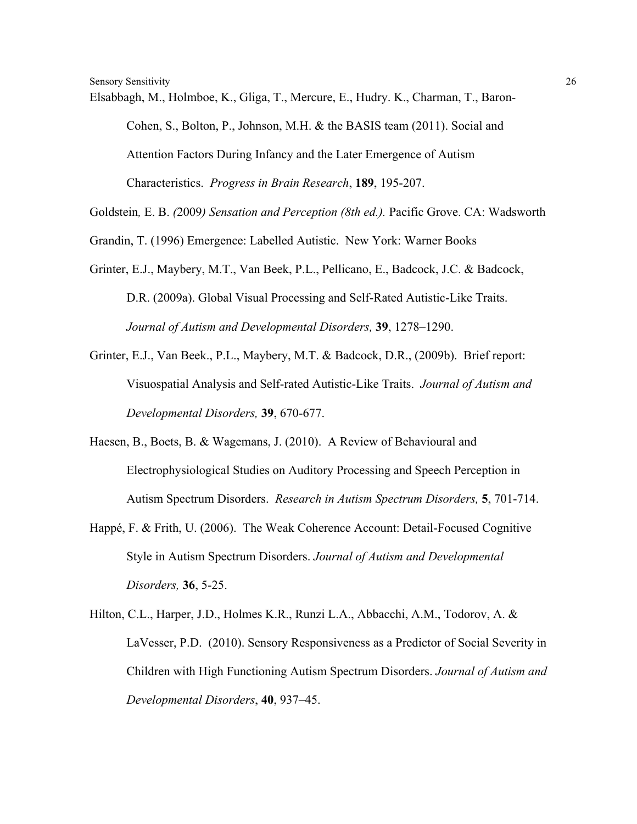Elsabbagh, M., Holmboe, K., Gliga, T., Mercure, E., Hudry. K., Charman, T., Baron-Cohen, S., Bolton, P., Johnson, M.H. & the BASIS team (2011). Social and Attention Factors During Infancy and the Later Emergence of Autism Characteristics. *Progress in Brain Research*, **189**, 195-207.

Goldstein*,* E. B. *(*2009*) Sensation and Perception (8th ed.).* Pacific Grove. CA: Wadsworth

Grandin, T. (1996) Emergence: Labelled Autistic. New York: Warner Books

- Grinter, E.J., Maybery, M.T., Van Beek, P.L., Pellicano, E., Badcock, J.C. & Badcock, D.R. (2009a). Global Visual Processing and Self-Rated Autistic-Like Traits. *Journal of Autism and Developmental Disorders,* **39**, 1278–1290.
- Grinter, E.J., Van Beek., P.L., Maybery, M.T. & Badcock, D.R., (2009b). Brief report: Visuospatial Analysis and Self-rated Autistic-Like Traits. *Journal of Autism and Developmental Disorders,* **39**, 670-677.
- Haesen, B., Boets, B. & Wagemans, J. (2010). A Review of Behavioural and Electrophysiological Studies on Auditory Processing and Speech Perception in Autism Spectrum Disorders. *Research in Autism Spectrum Disorders,* **5**, 701-714.
- Happé, F. & Frith, U. (2006). The Weak Coherence Account: Detail-Focused Cognitive Style in Autism Spectrum Disorders. *Journal of Autism and Developmental Disorders,* **36**, 5-25.
- Hilton, C.L., Harper, J.D., Holmes K.R., Runzi L.A., Abbacchi, A.M., Todorov, A. & LaVesser, P.D. (2010). Sensory Responsiveness as a Predictor of Social Severity in Children with High Functioning Autism Spectrum Disorders. *Journal of Autism and Developmental Disorders*, **40**, 937–45.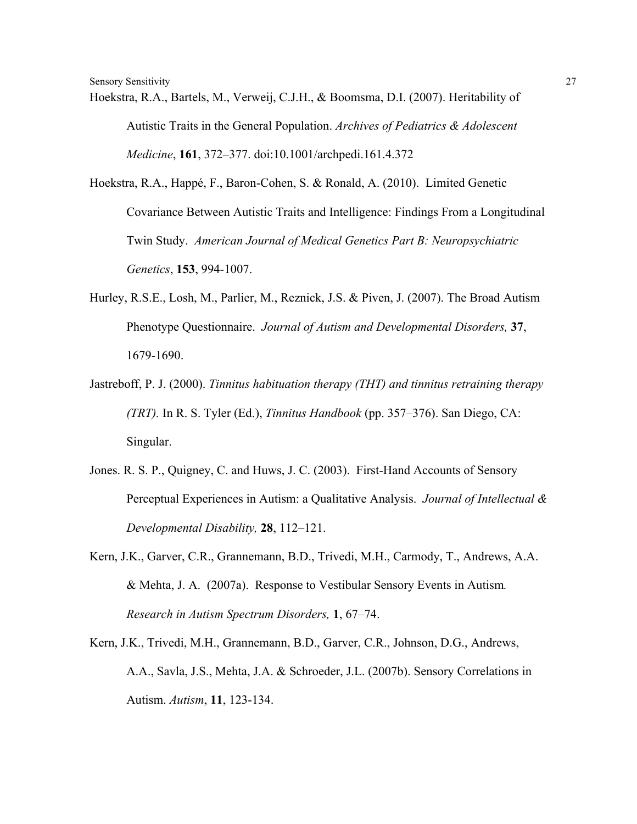Hoekstra, R.A., Bartels, M., Verweij, C.J.H., & Boomsma, D.I. (2007). Heritability of Autistic Traits in the General Population. *Archives of Pediatrics & Adolescent Medicine*, **161**, 372–377. doi:10.1001/archpedi.161.4.372

Hoekstra, R.A., Happé, F., Baron-Cohen, S. & Ronald, A. (2010). Limited Genetic Covariance Between Autistic Traits and Intelligence: Findings From a Longitudinal Twin Study. *American Journal of Medical Genetics Part B: Neuropsychiatric Genetics*, **153**, 994-1007.

- Hurley, R.S.E., Losh, M., Parlier, M., Reznick, J.S. & Piven, J. (2007). The Broad Autism Phenotype Questionnaire. *Journal of Autism and Developmental Disorders,* **37**, 1679-1690.
- Jastreboff, P. J. (2000). *Tinnitus habituation therapy (THT) and tinnitus retraining therapy (TRT).* In R. S. Tyler (Ed.), *Tinnitus Handbook* (pp. 357–376). San Diego, CA: Singular.
- Jones. R. S. P., Quigney, C. and Huws, J. C. (2003). First-Hand Accounts of Sensory Perceptual Experiences in Autism: a Qualitative Analysis. *Journal of Intellectual & Developmental Disability,* **28**, 112–121.
- Kern, J.K., Garver, C.R., Grannemann, B.D., Trivedi, M.H., Carmody, T., Andrews, A.A. & Mehta, J. A. (2007a). Response to Vestibular Sensory Events in Autism*. Research in Autism Spectrum Disorders,* **1**, 67–74.
- Kern, J.K., Trivedi, M.H., Grannemann, B.D., Garver, C.R., Johnson, D.G., Andrews, A.A., Savla, J.S., Mehta, J.A. & Schroeder, J.L. (2007b). Sensory Correlations in Autism. *Autism*, **11**, 123-134.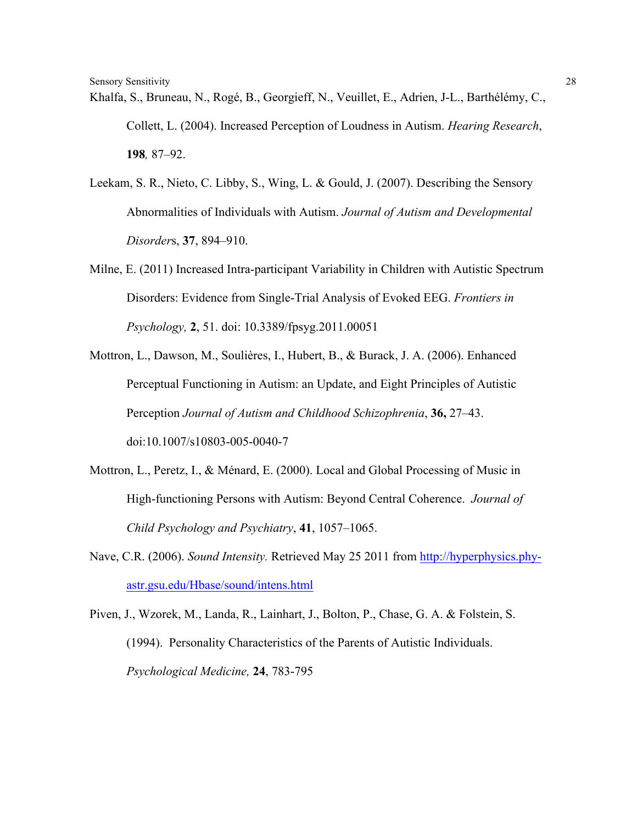Khalfa, S., Bruneau, N., Rogé, B., Georgieff, N., Veuillet, E., Adrien, J-L., Barthélémy, C., Collett, L. (2004). Increased Perception of Loudness in Autism. *Hearing Research*, **198***,* 87–92.

- Leekam, S. R., Nieto, C. Libby, S., Wing, L. & Gould, J. (2007). Describing the Sensory Abnormalities of Individuals with Autism. *Journal of Autism and Developmental Disorder*s, **37**, 894–910.
- Milne, E. (2011) Increased Intra-participant Variability in Children with Autistic Spectrum Disorders: Evidence from Single-Trial Analysis of Evoked EEG. *Frontiers in Psychology,* **2**, 51. doi: 10.3389/fpsyg.2011.00051
- Mottron, L., Dawson, M., Soulières, I., Hubert, B., & Burack, J. A. (2006). Enhanced Perceptual Functioning in Autism: an Update, and Eight Principles of Autistic Perception *Journal of Autism and Childhood Schizophrenia*, **36,** 27–43. doi:10.1007/s10803-005-0040-7
- Mottron, L., Peretz, I., & Ménard, E. (2000). Local and Global Processing of Music in High-functioning Persons with Autism: Beyond Central Coherence. *Journal of Child Psychology and Psychiatry*, **41**, 1057–1065.
- Nave, C.R. (2006). *Sound Intensity.* Retrieved May 25 2011 from http://hyperphysics.phyastr.gsu.edu/Hbase/sound/intens.html
- Piven, J., Wzorek, M., Landa, R., Lainhart, J., Bolton, P., Chase, G. A. & Folstein, S. (1994). Personality Characteristics of the Parents of Autistic Individuals. *Psychological Medicine,* **24**, 783-795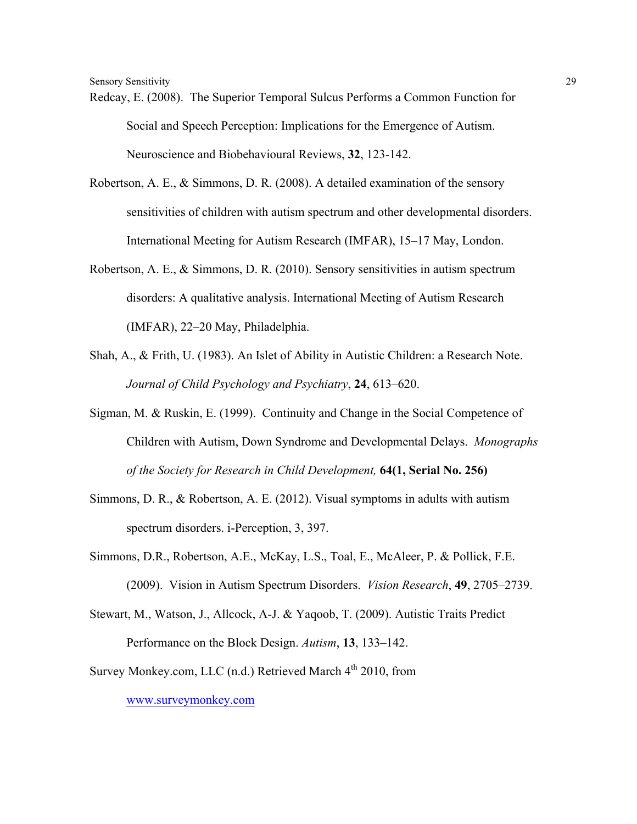- Redcay, E. (2008). The Superior Temporal Sulcus Performs a Common Function for Social and Speech Perception: Implications for the Emergence of Autism. Neuroscience and Biobehavioural Reviews, **32**, 123-142.
- Robertson, A. E., & Simmons, D. R. (2008). A detailed examination of the sensory sensitivities of children with autism spectrum and other developmental disorders. International Meeting for Autism Research (IMFAR), 15–17 May, London.
- Robertson, A. E., & Simmons, D. R. (2010). Sensory sensitivities in autism spectrum disorders: A qualitative analysis. International Meeting of Autism Research (IMFAR), 22–20 May, Philadelphia.
- Shah, A., & Frith, U. (1983). An Islet of Ability in Autistic Children: a Research Note. *Journal of Child Psychology and Psychiatry*, **24**, 613–620.
- Sigman, M. & Ruskin, E. (1999). Continuity and Change in the Social Competence of Children with Autism, Down Syndrome and Developmental Delays. *Monographs of the Society for Research in Child Development,* **64(1, Serial No. 256)**
- Simmons, D. R., & Robertson, A. E. (2012). Visual symptoms in adults with autism spectrum disorders. i-Perception, 3, 397.
- Simmons, D.R., Robertson, A.E., McKay, L.S., Toal, E., McAleer, P. & Pollick, F.E. (2009). Vision in Autism Spectrum Disorders. *Vision Research*, **49**, 2705–2739.
- Stewart, M., Watson, J., Allcock, A-J. & Yaqoob, T. (2009). Autistic Traits Predict Performance on the Block Design. *Autism*, **13**, 133–142.
- Survey Monkey.com, LLC (n.d.) Retrieved March  $4<sup>th</sup>$  2010, from www.surveymonkey.com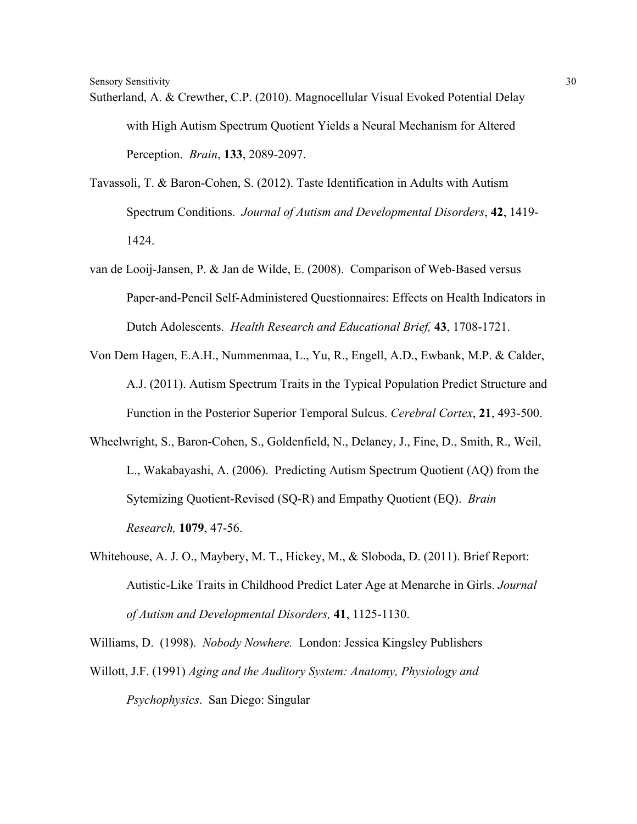- Sutherland, A. & Crewther, C.P. (2010). Magnocellular Visual Evoked Potential Delay with High Autism Spectrum Quotient Yields a Neural Mechanism for Altered Perception. *Brain*, **133**, 2089-2097.
- Tavassoli, T. & Baron-Cohen, S. (2012). Taste Identification in Adults with Autism Spectrum Conditions. *Journal of Autism and Developmental Disorders*, **42**, 1419- 1424.
- van de Looij-Jansen, P. & Jan de Wilde, E. (2008). Comparison of Web-Based versus Paper-and-Pencil Self-Administered Questionnaires: Effects on Health Indicators in Dutch Adolescents. *Health Research and Educational Brief,* **43**, 1708-1721.
- Von Dem Hagen, E.A.H., Nummenmaa, L., Yu, R., Engell, A.D., Ewbank, M.P. & Calder, A.J. (2011). Autism Spectrum Traits in the Typical Population Predict Structure and Function in the Posterior Superior Temporal Sulcus. *Cerebral Cortex*, **21**, 493-500.
- Wheelwright, S., Baron-Cohen, S., Goldenfield, N., Delaney, J., Fine, D., Smith, R., Weil, L., Wakabayashi, A. (2006). Predicting Autism Spectrum Quotient (AQ) from the Sytemizing Quotient-Revised (SQ-R) and Empathy Quotient (EQ). *Brain Research,* **1079**, 47-56.
- Whitehouse, A. J. O., Maybery, M. T., Hickey, M., & Sloboda, D. (2011). Brief Report: Autistic-Like Traits in Childhood Predict Later Age at Menarche in Girls. *Journal of Autism and Developmental Disorders,* **41**, 1125-1130.

Williams, D. (1998). *Nobody Nowhere.* London: Jessica Kingsley Publishers Willott, J.F. (1991) *Aging and the Auditory System: Anatomy, Physiology and Psychophysics*. San Diego: Singular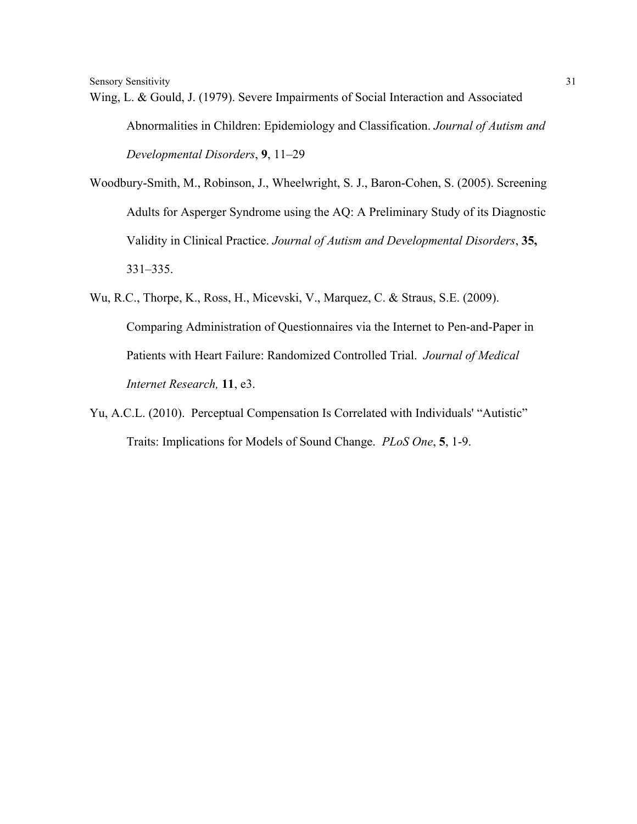Wing, L. & Gould, J. (1979). Severe Impairments of Social Interaction and Associated Abnormalities in Children: Epidemiology and Classification. *Journal of Autism and Developmental Disorders*, **9**, 11–29

Woodbury-Smith, M., Robinson, J., Wheelwright, S. J., Baron-Cohen, S. (2005). Screening Adults for Asperger Syndrome using the AQ: A Preliminary Study of its Diagnostic Validity in Clinical Practice. *Journal of Autism and Developmental Disorders*, **35,** 331–335.

- Wu, R.C., Thorpe, K., Ross, H., Micevski, V., Marquez, C. & Straus, S.E. (2009). Comparing Administration of Questionnaires via the Internet to Pen-and-Paper in Patients with Heart Failure: Randomized Controlled Trial. *Journal of Medical Internet Research,* **11**, e3.
- Yu, A.C.L. (2010). Perceptual Compensation Is Correlated with Individuals' "Autistic" Traits: Implications for Models of Sound Change. *PLoS One*, **5**, 1-9.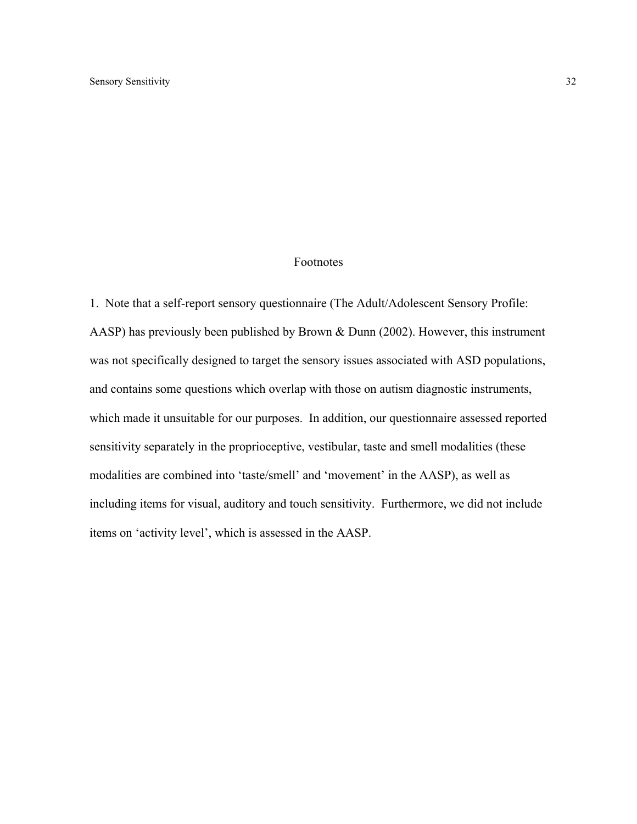#### Footnotes

1. Note that a self-report sensory questionnaire (The Adult/Adolescent Sensory Profile: AASP) has previously been published by Brown & Dunn (2002). However, this instrument was not specifically designed to target the sensory issues associated with ASD populations, and contains some questions which overlap with those on autism diagnostic instruments, which made it unsuitable for our purposes. In addition, our questionnaire assessed reported sensitivity separately in the proprioceptive, vestibular, taste and smell modalities (these modalities are combined into 'taste/smell' and 'movement' in the AASP), as well as including items for visual, auditory and touch sensitivity. Furthermore, we did not include items on 'activity level', which is assessed in the AASP.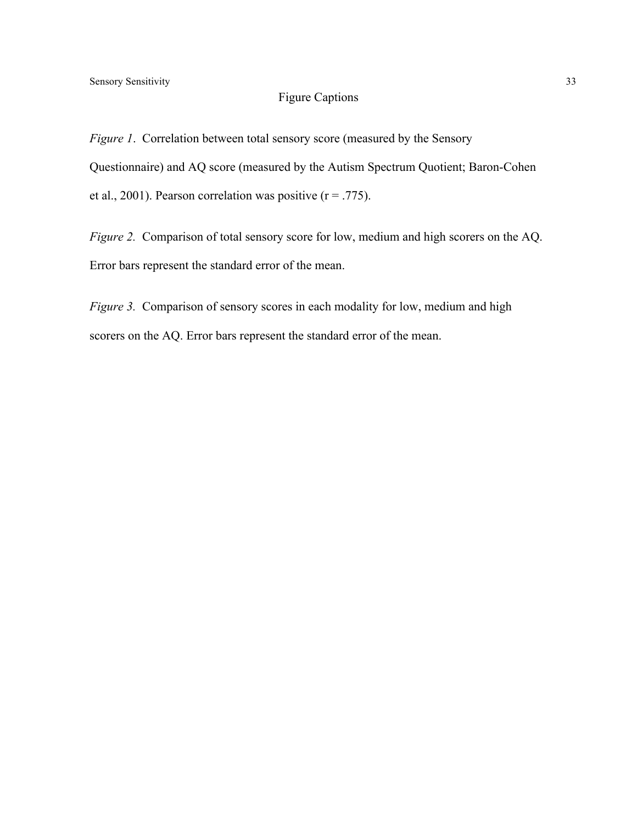# Figure Captions

*Figure 1.* Correlation between total sensory score (measured by the Sensory Questionnaire) and AQ score (measured by the Autism Spectrum Quotient; Baron-Cohen et al., 2001). Pearson correlation was positive  $(r = .775)$ .

*Figure 2.* Comparison of total sensory score for low, medium and high scorers on the AQ. Error bars represent the standard error of the mean.

*Figure 3.* Comparison of sensory scores in each modality for low, medium and high scorers on the AQ. Error bars represent the standard error of the mean.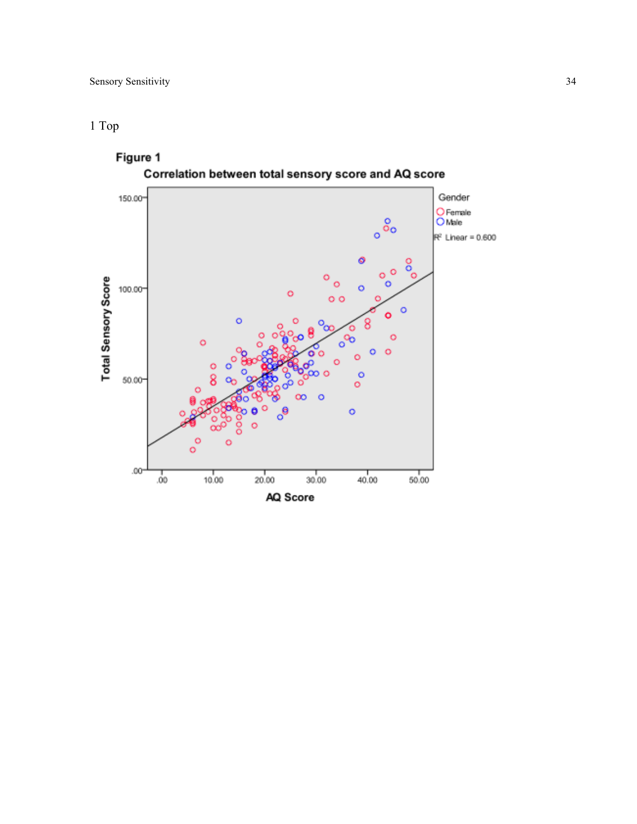# 1 Top

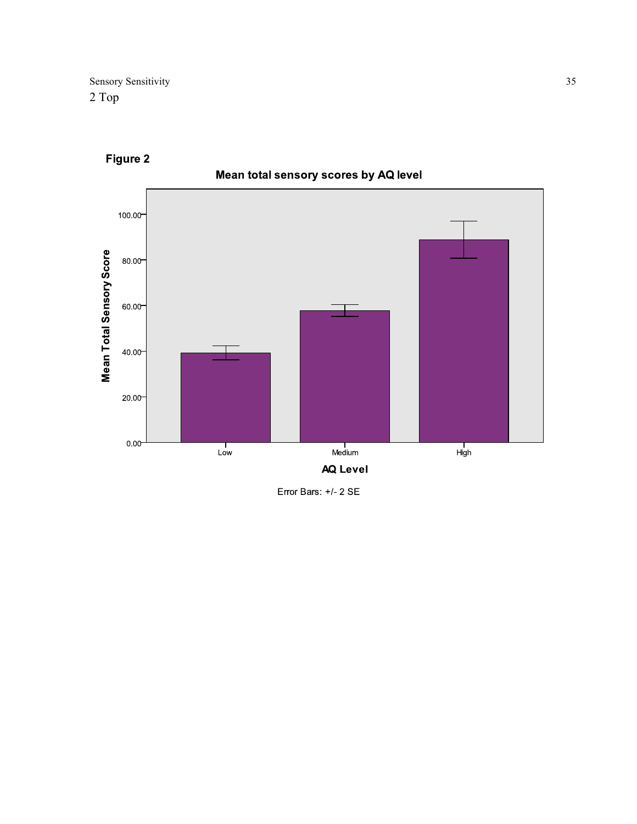

Figure 2

Error Bars: +/- 2 SE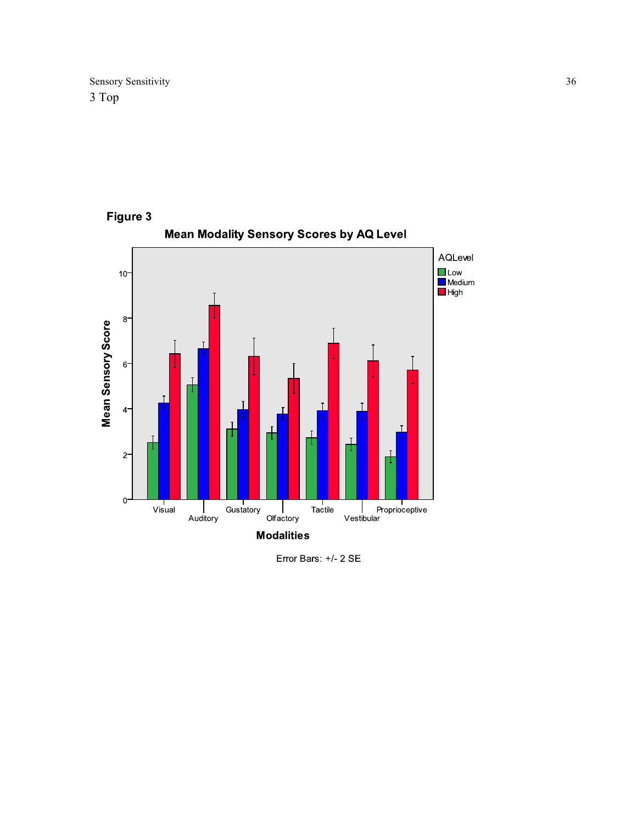

Error Bars: +/- 2 SE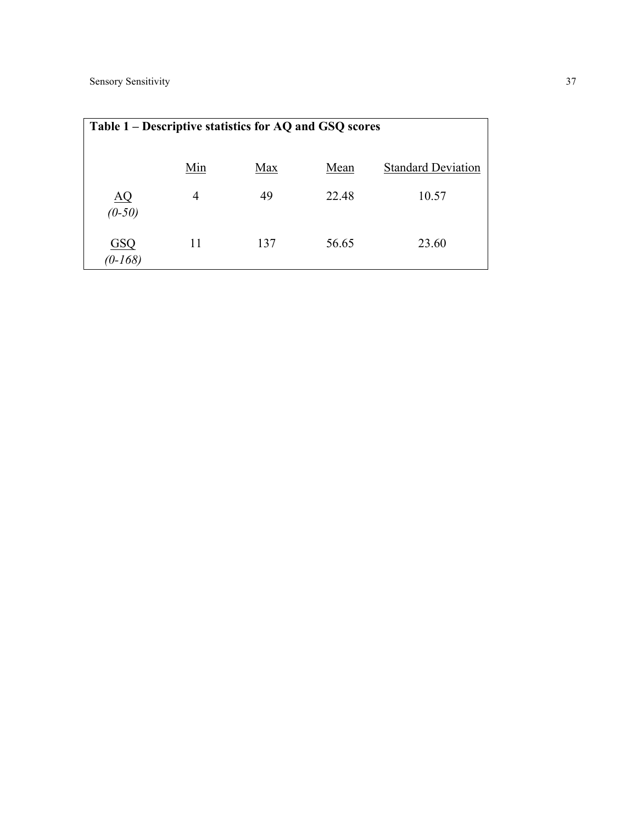| Table 1 – Descriptive statistics for AQ and GSQ scores |     |     |       |                           |  |
|--------------------------------------------------------|-----|-----|-------|---------------------------|--|
|                                                        | Min | Max | Mean  | <b>Standard Deviation</b> |  |
| $\underline{AQ}$<br>$(0-50)$                           | 4   | 49  | 22.48 | 10.57                     |  |
| GSQ<br>$(0-168)$                                       | 11  | 137 | 56.65 | 23.60                     |  |